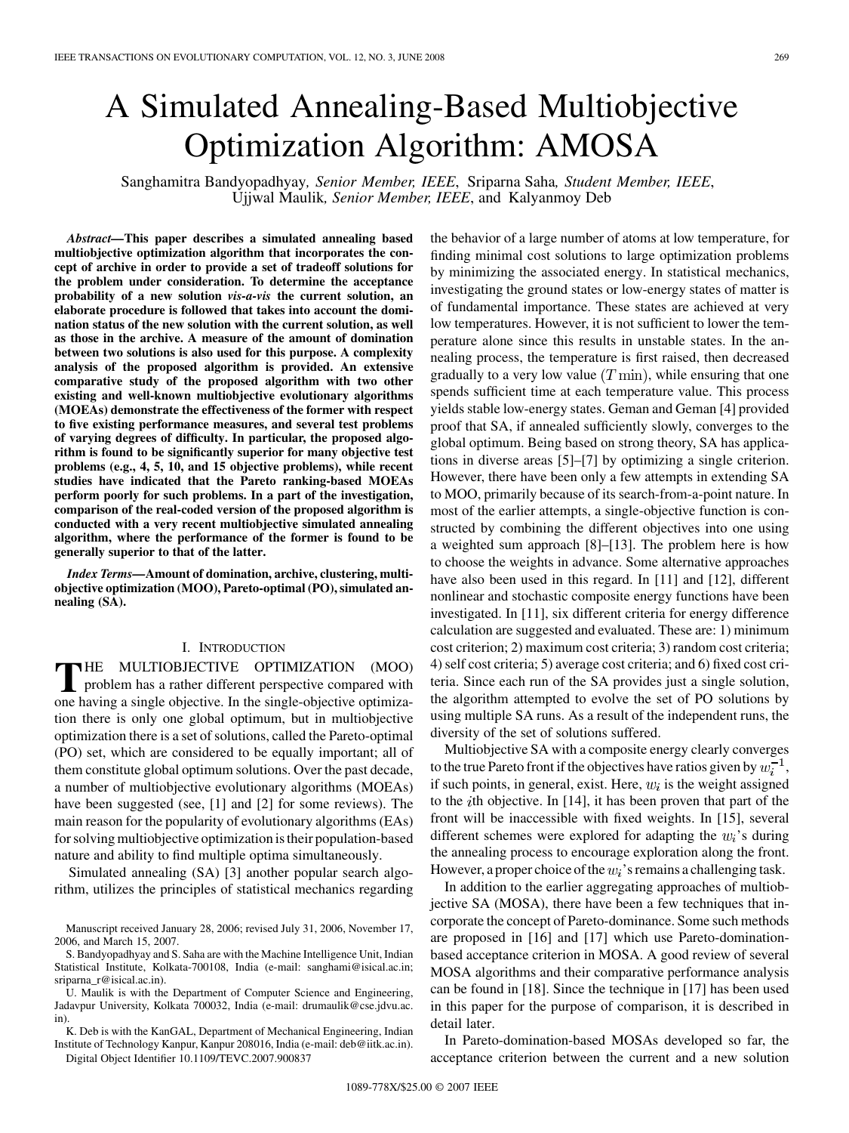# A Simulated Annealing-Based Multiobjective Optimization Algorithm: AMOSA

Sanghamitra Bandyopadhyay*, Senior Member, IEEE*, Sriparna Saha*, Student Member, IEEE*, Ujjwal Maulik*, Senior Member, IEEE*, and Kalyanmoy Deb

*Abstract—***This paper describes a simulated annealing based multiobjective optimization algorithm that incorporates the concept of archive in order to provide a set of tradeoff solutions for the problem under consideration. To determine the acceptance probability of a new solution** *vis-a-vis* **the current solution, an elaborate procedure is followed that takes into account the domination status of the new solution with the current solution, as well as those in the archive. A measure of the amount of domination between two solutions is also used for this purpose. A complexity analysis of the proposed algorithm is provided. An extensive comparative study of the proposed algorithm with two other existing and well-known multiobjective evolutionary algorithms (MOEAs) demonstrate the effectiveness of the former with respect to five existing performance measures, and several test problems of varying degrees of difficulty. In particular, the proposed algorithm is found to be significantly superior for many objective test problems (e.g., 4, 5, 10, and 15 objective problems), while recent studies have indicated that the Pareto ranking-based MOEAs perform poorly for such problems. In a part of the investigation, comparison of the real-coded version of the proposed algorithm is conducted with a very recent multiobjective simulated annealing algorithm, where the performance of the former is found to be generally superior to that of the latter.**

*Index Terms—***Amount of domination, archive, clustering, multiobjective optimization (MOO), Pareto-optimal (PO), simulated annealing (SA).**

## I. INTRODUCTION

**T**HE MULTIOBJECTIVE OPTIMIZATION (MOO) problem has a rather different perspective compared with one having a single objective. In the single-objective optimization there is only one global optimum, but in multiobjective optimization there is a set of solutions, called the Pareto-optimal (PO) set, which are considered to be equally important; all of them constitute global optimum solutions. Over the past decade, a number of multiobjective evolutionary algorithms (MOEAs) have been suggested (see, [1] and [2] for some reviews). The main reason for the popularity of evolutionary algorithms (EAs) for solving multiobjective optimization is their population-based nature and ability to find multiple optima simultaneously.

Simulated annealing (SA) [3] another popular search algorithm, utilizes the principles of statistical mechanics regarding

Manuscript received January 28, 2006; revised July 31, 2006, November 17, 2006, and March 15, 2007.

S. Bandyopadhyay and S. Saha are with the Machine Intelligence Unit, Indian Statistical Institute, Kolkata-700108, India (e-mail: sanghami@isical.ac.in; sriparna\_r@isical.ac.in).

U. Maulik is with the Department of Computer Science and Engineering, Jadavpur University, Kolkata 700032, India (e-mail: drumaulik@cse.jdvu.ac. in).

K. Deb is with the KanGAL, Department of Mechanical Engineering, Indian Institute of Technology Kanpur, Kanpur 208016, India (e-mail: deb@iitk.ac.in). Digital Object Identifier 10.1109/TEVC.2007.900837

the behavior of a large number of atoms at low temperature, for finding minimal cost solutions to large optimization problems by minimizing the associated energy. In statistical mechanics, investigating the ground states or low-energy states of matter is of fundamental importance. These states are achieved at very low temperatures. However, it is not sufficient to lower the temperature alone since this results in unstable states. In the annealing process, the temperature is first raised, then decreased gradually to a very low value  $(T \min)$ , while ensuring that one spends sufficient time at each temperature value. This process yields stable low-energy states. Geman and Geman [4] provided proof that SA, if annealed sufficiently slowly, converges to the global optimum. Being based on strong theory, SA has applications in diverse areas [5]–[7] by optimizing a single criterion. However, there have been only a few attempts in extending SA to MOO, primarily because of its search-from-a-point nature. In most of the earlier attempts, a single-objective function is constructed by combining the different objectives into one using a weighted sum approach [8]–[13]. The problem here is how to choose the weights in advance. Some alternative approaches have also been used in this regard. In [11] and [12], different nonlinear and stochastic composite energy functions have been investigated. In [11], six different criteria for energy difference calculation are suggested and evaluated. These are: 1) minimum cost criterion; 2) maximum cost criteria; 3) random cost criteria; 4) self cost criteria; 5) average cost criteria; and 6) fixed cost criteria. Since each run of the SA provides just a single solution, the algorithm attempted to evolve the set of PO solutions by using multiple SA runs. As a result of the independent runs, the diversity of the set of solutions suffered.

Multiobjective SA with a composite energy clearly converges to the true Pareto front if the objectives have ratios given by  $w_i^{-1}$ , if such points, in general, exist. Here,  $w_i$  is the weight assigned to the  $i$ th objective. In [14], it has been proven that part of the front will be inaccessible with fixed weights. In [15], several different schemes were explored for adapting the  $w_i$ 's during the annealing process to encourage exploration along the front. However, a proper choice of the  $w_i$ 's remains a challenging task.

In addition to the earlier aggregating approaches of multiobjective SA (MOSA), there have been a few techniques that incorporate the concept of Pareto-dominance. Some such methods are proposed in [16] and [17] which use Pareto-dominationbased acceptance criterion in MOSA. A good review of several MOSA algorithms and their comparative performance analysis can be found in [18]. Since the technique in [17] has been used in this paper for the purpose of comparison, it is described in detail later.

In Pareto-domination-based MOSAs developed so far, the acceptance criterion between the current and a new solution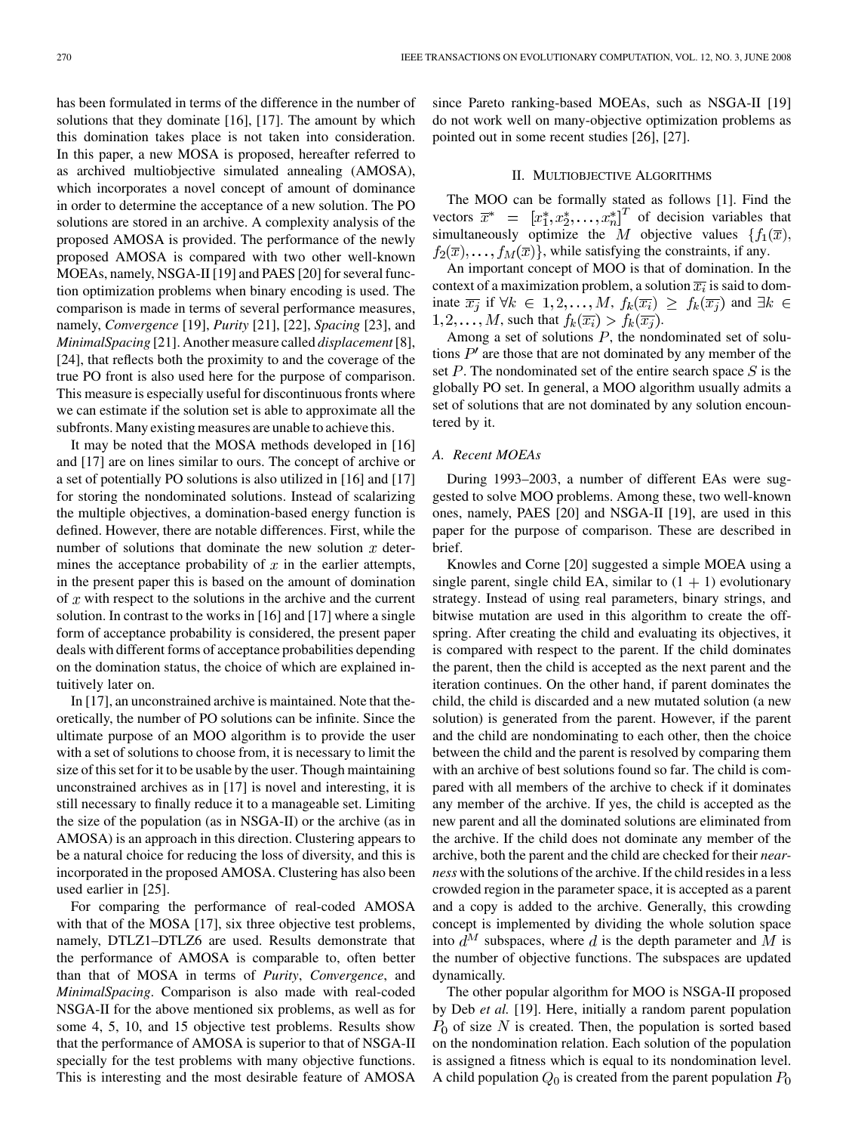has been formulated in terms of the difference in the number of solutions that they dominate [16], [17]. The amount by which this domination takes place is not taken into consideration. In this paper, a new MOSA is proposed, hereafter referred to as archived multiobjective simulated annealing (AMOSA), which incorporates a novel concept of amount of dominance in order to determine the acceptance of a new solution. The PO solutions are stored in an archive. A complexity analysis of the proposed AMOSA is provided. The performance of the newly proposed AMOSA is compared with two other well-known MOEAs, namely, NSGA-II [19] and PAES [20] for several function optimization problems when binary encoding is used. The comparison is made in terms of several performance measures, namely, *Convergence* [19], *Purity* [21], [22], *Spacing* [23], and *MinimalSpacing* [21]. Another measure called *displacement*[8], [24], that reflects both the proximity to and the coverage of the true PO front is also used here for the purpose of comparison. This measure is especially useful for discontinuous fronts where we can estimate if the solution set is able to approximate all the subfronts. Many existing measures are unable to achieve this.

It may be noted that the MOSA methods developed in [16] and [17] are on lines similar to ours. The concept of archive or a set of potentially PO solutions is also utilized in [16] and [17] for storing the nondominated solutions. Instead of scalarizing the multiple objectives, a domination-based energy function is defined. However, there are notable differences. First, while the number of solutions that dominate the new solution  $x$  determines the acceptance probability of  $x$  in the earlier attempts, in the present paper this is based on the amount of domination of  $x$  with respect to the solutions in the archive and the current solution. In contrast to the works in [16] and [17] where a single form of acceptance probability is considered, the present paper deals with different forms of acceptance probabilities depending on the domination status, the choice of which are explained intuitively later on.

In [17], an unconstrained archive is maintained. Note that theoretically, the number of PO solutions can be infinite. Since the ultimate purpose of an MOO algorithm is to provide the user with a set of solutions to choose from, it is necessary to limit the size of this set for it to be usable by the user. Though maintaining unconstrained archives as in [17] is novel and interesting, it is still necessary to finally reduce it to a manageable set. Limiting the size of the population (as in NSGA-II) or the archive (as in AMOSA) is an approach in this direction. Clustering appears to be a natural choice for reducing the loss of diversity, and this is incorporated in the proposed AMOSA. Clustering has also been used earlier in [25].

For comparing the performance of real-coded AMOSA with that of the MOSA [17], six three objective test problems, namely, DTLZ1–DTLZ6 are used. Results demonstrate that the performance of AMOSA is comparable to, often better than that of MOSA in terms of *Purity*, *Convergence*, and *MinimalSpacing*. Comparison is also made with real-coded NSGA-II for the above mentioned six problems, as well as for some 4, 5, 10, and 15 objective test problems. Results show that the performance of AMOSA is superior to that of NSGA-II specially for the test problems with many objective functions. This is interesting and the most desirable feature of AMOSA since Pareto ranking-based MOEAs, such as NSGA-II [19] do not work well on many-objective optimization problems as pointed out in some recent studies [26], [27].

## II. MULTIOBJECTIVE ALGORITHMS

The MOO can be formally stated as follows [1]. Find the vectors  $\overline{x}^* = [x_1^*, x_2^*, \dots, x_n^*]^T$  of decision variables that simultaneously optimize the  $M$  objective values  $f_2(\overline{x}), \ldots, f_M(\overline{x})\},$  while satisfying the constraints, if any.

An important concept of MOO is that of domination. In the context of a maximization problem, a solution  $\overline{x_i}$  is said to dominate  $\overline{x_j}$  if  $\forall k \in 1, 2, ..., M$ ,  $f_k(\overline{x_i}) \geq f_k(\overline{x_j})$  and  $\exists k \in$  $1, 2, \ldots, M$ , such that  $f_k(\overline{x_i}) > f_k(\overline{x_i})$ .

Among a set of solutions  $P$ , the nondominated set of solutions  $P'$  are those that are not dominated by any member of the set  $P$ . The nondominated set of the entire search space  $S$  is the globally PO set. In general, a MOO algorithm usually admits a set of solutions that are not dominated by any solution encountered by it.

## *A. Recent MOEAs*

During 1993–2003, a number of different EAs were suggested to solve MOO problems. Among these, two well-known ones, namely, PAES [20] and NSGA-II [19], are used in this paper for the purpose of comparison. These are described in brief.

Knowles and Corne [20] suggested a simple MOEA using a single parent, single child EA, similar to  $(1 + 1)$  evolutionary strategy. Instead of using real parameters, binary strings, and bitwise mutation are used in this algorithm to create the offspring. After creating the child and evaluating its objectives, it is compared with respect to the parent. If the child dominates the parent, then the child is accepted as the next parent and the iteration continues. On the other hand, if parent dominates the child, the child is discarded and a new mutated solution (a new solution) is generated from the parent. However, if the parent and the child are nondominating to each other, then the choice between the child and the parent is resolved by comparing them with an archive of best solutions found so far. The child is compared with all members of the archive to check if it dominates any member of the archive. If yes, the child is accepted as the new parent and all the dominated solutions are eliminated from the archive. If the child does not dominate any member of the archive, both the parent and the child are checked for their *nearness* with the solutions of the archive. If the child resides in a less crowded region in the parameter space, it is accepted as a parent and a copy is added to the archive. Generally, this crowding concept is implemented by dividing the whole solution space into  $d^M$  subspaces, where d is the depth parameter and M is the number of objective functions. The subspaces are updated dynamically.

The other popular algorithm for MOO is NSGA-II proposed by Deb *et al.* [19]. Here, initially a random parent population  $P_0$  of size N is created. Then, the population is sorted based on the nondomination relation. Each solution of the population is assigned a fitness which is equal to its nondomination level. A child population  $Q_0$  is created from the parent population  $P_0$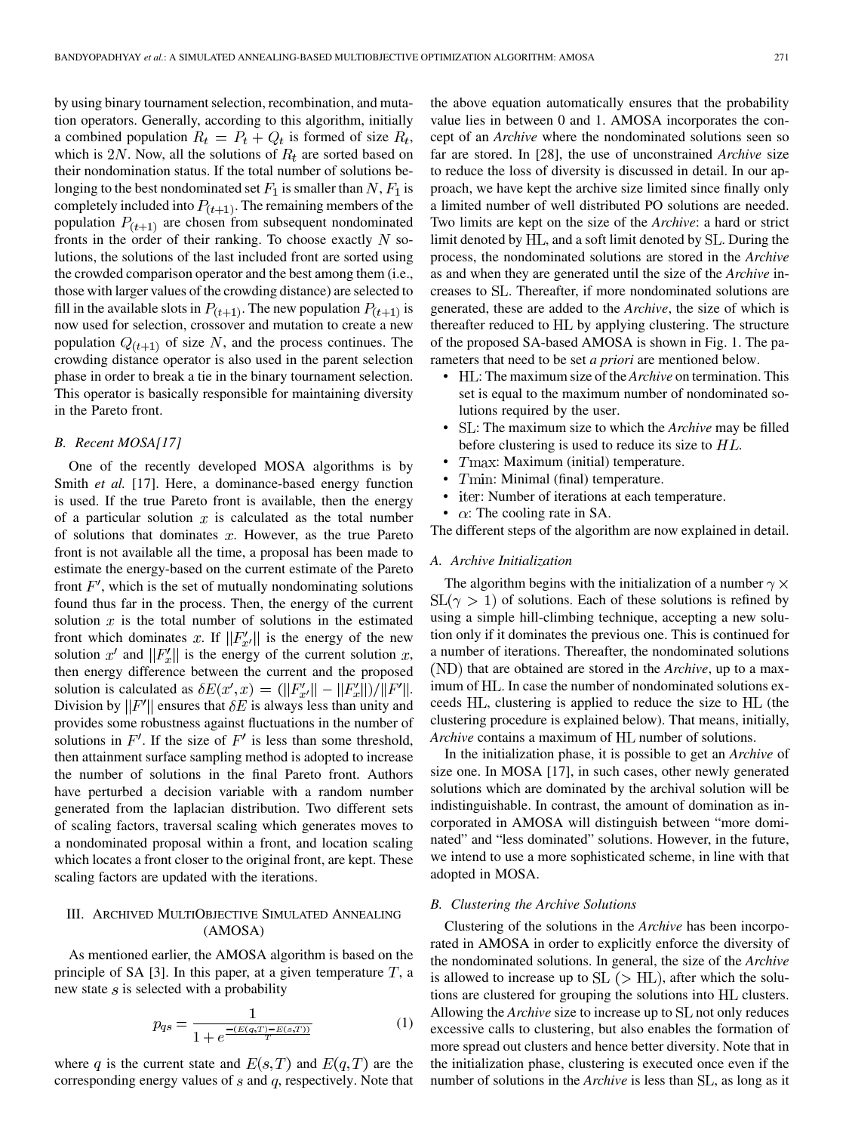by using binary tournament selection, recombination, and mutation operators. Generally, according to this algorithm, initially a combined population  $R_t = P_t + Q_t$  is formed of size  $R_t$ , which is 2N. Now, all the solutions of  $R_t$  are sorted based on their nondomination status. If the total number of solutions belonging to the best nondominated set  $F_1$  is smaller than N,  $F_1$  is completely included into  $P_{(t+1)}$ . The remaining members of the population  $P_{(t+1)}$  are chosen from subsequent nondominated fronts in the order of their ranking. To choose exactly  $N$  solutions, the solutions of the last included front are sorted using the crowded comparison operator and the best among them (i.e., those with larger values of the crowding distance) are selected to fill in the available slots in  $P_{(t+1)}$ . The new population  $P_{(t+1)}$  is now used for selection, crossover and mutation to create a new population  $Q_{(t+1)}$  of size N, and the process continues. The crowding distance operator is also used in the parent selection phase in order to break a tie in the binary tournament selection. This operator is basically responsible for maintaining diversity in the Pareto front.

## *B. Recent MOSA[17]*

One of the recently developed MOSA algorithms is by Smith *et al.* [17]. Here, a dominance-based energy function is used. If the true Pareto front is available, then the energy of a particular solution  $x$  is calculated as the total number of solutions that dominates  $x$ . However, as the true Pareto front is not available all the time, a proposal has been made to estimate the energy-based on the current estimate of the Pareto front  $F'$ , which is the set of mutually nondominating solutions found thus far in the process. Then, the energy of the current solution  $x$  is the total number of solutions in the estimated front which dominates x. If  $||F'_{x'}||$  is the energy of the new solution x' and  $||F'_x||$  is the energy of the current solution x, then energy difference between the current and the proposed solution is calculated as  $\delta E(x', x) = (||F'_{x'}|| - ||F'_{x}||)/||F'||.$ Division by  $||F'||$  ensures that  $\delta E$  is always less than unity and provides some robustness against fluctuations in the number of solutions in  $F'$ . If the size of  $F'$  is less than some threshold, then attainment surface sampling method is adopted to increase the number of solutions in the final Pareto front. Authors have perturbed a decision variable with a random number generated from the laplacian distribution. Two different sets of scaling factors, traversal scaling which generates moves to a nondominated proposal within a front, and location scaling which locates a front closer to the original front, are kept. These scaling factors are updated with the iterations.

# III. ARCHIVED MULTIOBJECTIVE SIMULATED ANNEALING (AMOSA)

As mentioned earlier, the AMOSA algorithm is based on the principle of SA  $[3]$ . In this paper, at a given temperature  $T$ , a new state  $s$  is selected with a probability

$$
p_{qs} = \frac{1}{1 + e^{\frac{-(E(q, T) - E(s, T))}{T}}}
$$
(1)

where q is the current state and  $E(s, T)$  and  $E(q, T)$  are the corresponding energy values of  $s$  and  $q$ , respectively. Note that the above equation automatically ensures that the probability value lies in between 0 and 1. AMOSA incorporates the concept of an *Archive* where the nondominated solutions seen so far are stored. In [28], the use of unconstrained *Archive* size to reduce the loss of diversity is discussed in detail. In our approach, we have kept the archive size limited since finally only a limited number of well distributed PO solutions are needed. Two limits are kept on the size of the *Archive*: a hard or strict limit denoted by HL, and a soft limit denoted by SL. During the process, the nondominated solutions are stored in the *Archive* as and when they are generated until the size of the *Archive* increases to SL. Thereafter, if more nondominated solutions are generated, these are added to the *Archive*, the size of which is thereafter reduced to HL by applying clustering. The structure of the proposed SA-based AMOSA is shown in Fig. 1. The parameters that need to be set *a priori* are mentioned below.

- HL: The maximum size of the *Archive* on termination. This set is equal to the maximum number of nondominated solutions required by the user.
- SL: The maximum size to which the *Archive* may be filled before clustering is used to reduce its size to  $HL$ .
- $T$ max: Maximum (initial) temperature.
- $T$ min: Minimal (final) temperature.
- iter: Number of iterations at each temperature.
- $\alpha$ : The cooling rate in SA.

The different steps of the algorithm are now explained in detail.

## *A. Archive Initialization*

The algorithm begins with the initialization of a number  $\gamma \times$  $SL(\gamma > 1)$  of solutions. Each of these solutions is refined by using a simple hill-climbing technique, accepting a new solution only if it dominates the previous one. This is continued for a number of iterations. Thereafter, the nondominated solutions  $(ND)$  that are obtained are stored in the *Archive*, up to a maximum of HL. In case the number of nondominated solutions exceeds HL, clustering is applied to reduce the size to HL (the clustering procedure is explained below). That means, initially, *Archive* contains a maximum of HL number of solutions.

In the initialization phase, it is possible to get an *Archive* of size one. In MOSA [17], in such cases, other newly generated solutions which are dominated by the archival solution will be indistinguishable. In contrast, the amount of domination as incorporated in AMOSA will distinguish between "more dominated" and "less dominated" solutions. However, in the future, we intend to use a more sophisticated scheme, in line with that adopted in MOSA.

## *B. Clustering the Archive Solutions*

Clustering of the solutions in the *Archive* has been incorporated in AMOSA in order to explicitly enforce the diversity of the nondominated solutions. In general, the size of the *Archive* is allowed to increase up to  $SL$  ( $> HL$ ), after which the solutions are clustered for grouping the solutions into HL clusters. Allowing the *Archive* size to increase up to SL not only reduces excessive calls to clustering, but also enables the formation of more spread out clusters and hence better diversity. Note that in the initialization phase, clustering is executed once even if the number of solutions in the *Archive* is less than SL, as long as it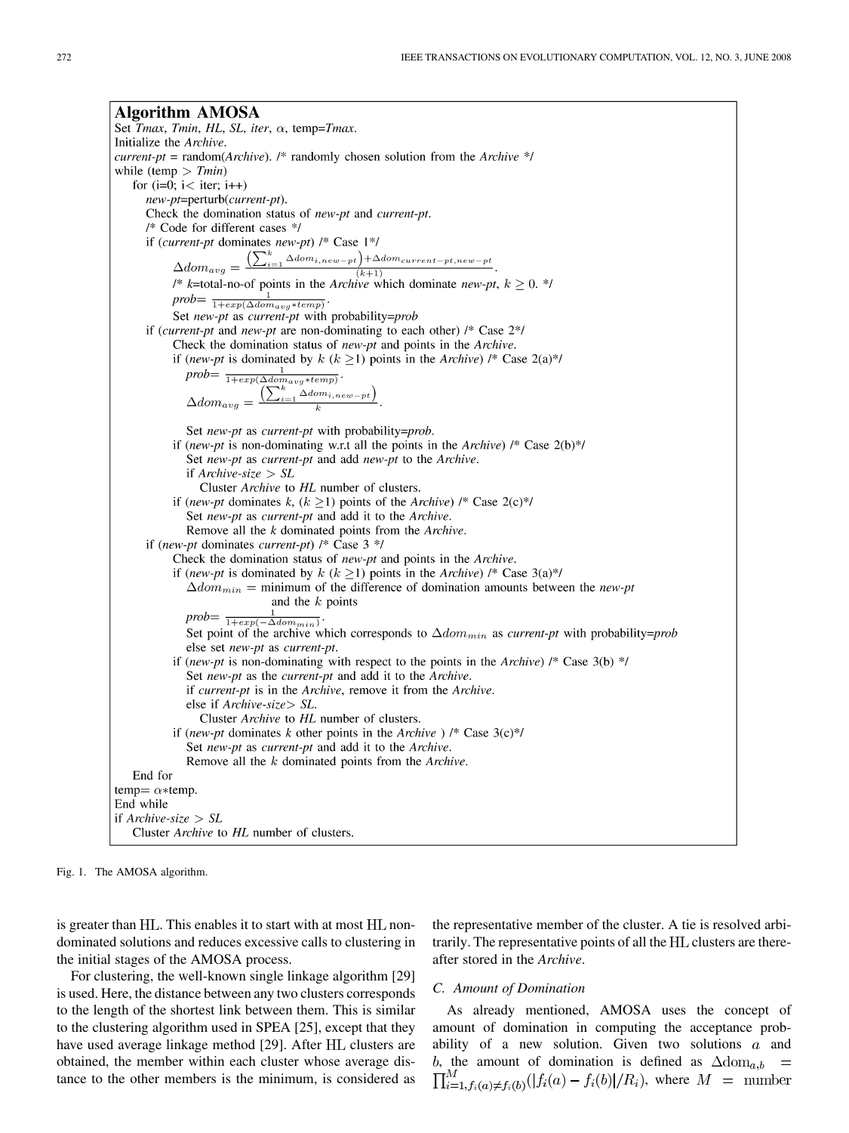





is greater than HL. This enables it to start with at most HL nondominated solutions and reduces excessive calls to clustering in the initial stages of the AMOSA process.

For clustering, the well-known single linkage algorithm [29] is used. Here, the distance between any two clusters corresponds to the length of the shortest link between them. This is similar to the clustering algorithm used in SPEA [25], except that they have used average linkage method [29]. After HL clusters are obtained, the member within each cluster whose average distance to the other members is the minimum, is considered as

the representative member of the cluster. A tie is resolved arbitrarily. The representative points of all the HL clusters are thereafter stored in the *Archive*.

## *C. Amount of Domination*

As already mentioned, AMOSA uses the concept of amount of domination in computing the acceptance probability of a new solution. Given two solutions  $a$  and b, the amount of domination is defined as  $\Delta \text{dom}_{a,b}$  =  $\prod_{i=1, f_i(a)\neq f_i(b)}^{M}(|f_i(a)-f_i(b)|/R_i)$ , where  $M =$  number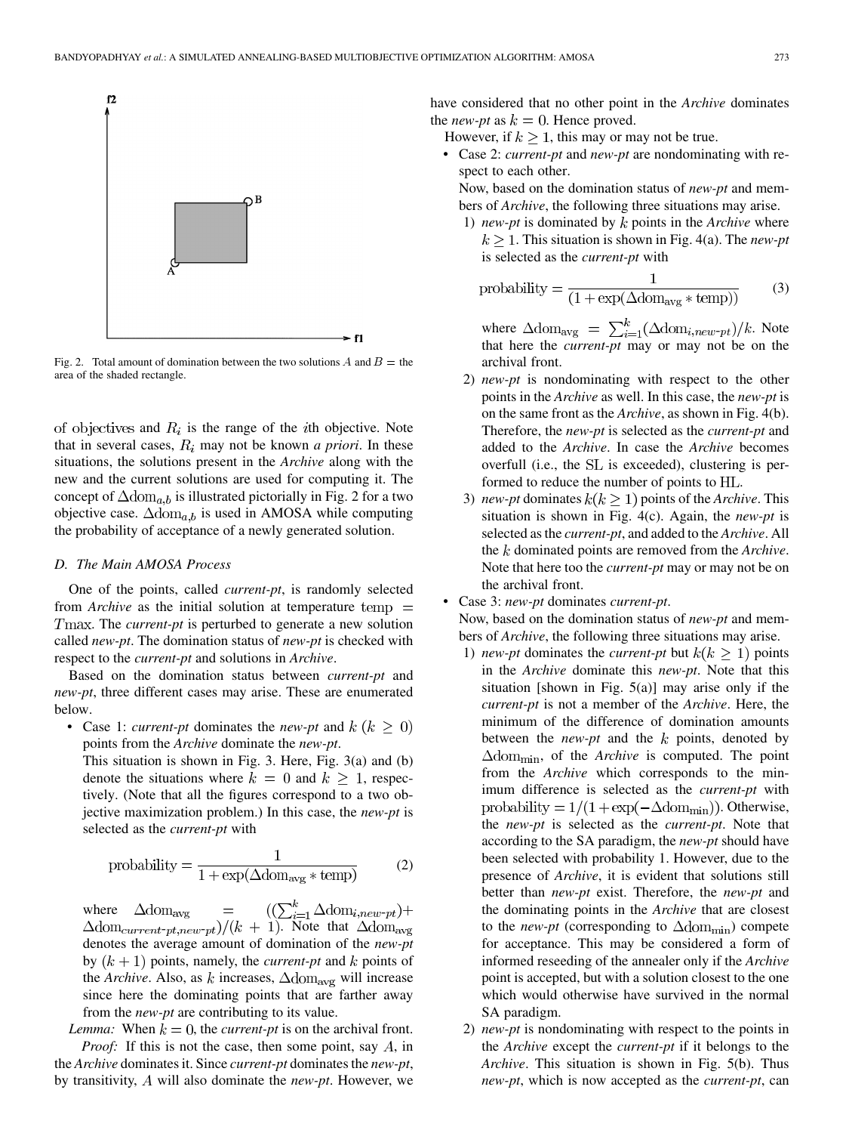

Fig. 2. Total amount of domination between the two solutions A and  $B =$  the area of the shaded rectangle.

of objectives and  $R_i$  is the range of the *i*th objective. Note that in several cases,  $R_i$  may not be known *a priori*. In these situations, the solutions present in the *Archive* along with the new and the current solutions are used for computing it. The concept of  $\Delta \text{dom}_{a,b}$  is illustrated pictorially in Fig. 2 for a two objective case.  $\Delta \text{dom}_{a,b}$  is used in AMOSA while computing the probability of acceptance of a newly generated solution.

## *D. The Main AMOSA Process*

One of the points, called *current-pt*, is randomly selected from *Archive* as the initial solution at temperature . The *current-pt* is perturbed to generate a new solution called *new-pt*. The domination status of *new-pt* is checked with respect to the *current-pt* and solutions in *Archive*.

Based on the domination status between *current-pt* and *new-pt*, three different cases may arise. These are enumerated below.

• Case 1: *current-pt* dominates the *new-pt* and  $k (k \geq 0)$ points from the *Archive* dominate the *new-pt*.

This situation is shown in Fig. 3. Here, Fig. 3(a) and (b) denote the situations where  $k = 0$  and  $k \ge 1$ , respectively. (Note that all the figures correspond to a two objective maximization problem.) In this case, the *new-pt* is selected as the *current-pt* with

$$
probability = \frac{1}{1 + \exp(\Delta \text{dom}_{\text{avg}} * \text{temp})}
$$
 (2)

where  $\Delta$ dom<sub>avg</sub> =  $((\sum_{i=1}^{k} \Delta$ dom<sub>i,new</sub>  $(-pt, new\text{-}pt)/(k+1)$ . Note that denotes the average amount of domination of the *new-pt* by  $(k + 1)$  points, namely, the *current-pt* and k points of the *Archive*. Also, as k increases,  $\Delta$ dom<sub>avg</sub> will increase since here the dominating points that are farther away from the *new-pt* are contributing to its value.

*Lemma:* When  $k = 0$ , the *current-pt* is on the archival front.

*Proof:* If this is not the case, then some point, say  $A$ , in the *Archive* dominates it. Since *current-pt* dominates the *new-pt*, by transitivity, A will also dominate the *new-pt*. However, we have considered that no other point in the *Archive* dominates the *new-pt* as  $k = 0$ . Hence proved.

However, if  $k \geq 1$ , this may or may not be true.

• Case 2: *current-pt* and *new-pt* are nondominating with respect to each other.

Now, based on the domination status of *new-pt* and members of *Archive*, the following three situations may arise.

1) *new-pt* is dominated by k points in the *Archive* where  $k \geq 1$ . This situation is shown in Fig. 4(a). The *new-pt* is selected as the *current-pt* with

$$
probability = \frac{1}{(1 + \exp(\Delta \text{dom}_{\text{avg}} * \text{temp}))}
$$
 (3)

where  $\Delta \text{dom}_{\text{avg}} = \sum_{i=1}^{k} (\Delta \text{dom}_{i, new-pt})/k$ . Note that here the *current-pt* may or may not be on the archival front.

- 2) *new-pt* is nondominating with respect to the other points in the *Archive* as well. In this case, the *new-pt* is on the same front as the *Archive*, as shown in Fig. 4(b). Therefore, the *new-pt* is selected as the *current-pt* and added to the *Archive*. In case the *Archive* becomes overfull (i.e., the SL is exceeded), clustering is performed to reduce the number of points to  $HL$ .
- 3) *new-pt* dominates  $k(k \ge 1)$  points of the *Archive*. This situation is shown in Fig. 4(c). Again, the *new-pt* is selected as the *current-pt*, and added to the *Archive*. All the k dominated points are removed from the *Archive*. Note that here too the *current-pt* may or may not be on the archival front.
- Case 3: *new-pt* dominates *current-pt*.

Now, based on the domination status of *new-pt* and members of *Archive*, the following three situations may arise.

- 1) *new-pt* dominates the *current-pt* but  $k(k \ge 1)$  points in the *Archive* dominate this *new-pt*. Note that this situation [shown in Fig. 5(a)] may arise only if the *current-pt* is not a member of the *Archive*. Here, the minimum of the difference of domination amounts between the *new-pt* and the  $k$  points, denoted by  $\Delta$ dom<sub>min</sub>, of the *Archive* is computed. The point from the *Archive* which corresponds to the minimum difference is selected as the *current-pt* with probability =  $1/(1 + \exp(-\Delta \text{dom}_{\text{min}}))$ . Otherwise, the *new-pt* is selected as the *current-pt*. Note that according to the SA paradigm, the *new-pt* should have been selected with probability 1. However, due to the presence of *Archive*, it is evident that solutions still better than *new-pt* exist. Therefore, the *new-pt* and the dominating points in the *Archive* that are closest to the *new-pt* (corresponding to  $\Delta \text{dom}_{\text{min}}$ ) compete for acceptance. This may be considered a form of informed reseeding of the annealer only if the *Archive* point is accepted, but with a solution closest to the one which would otherwise have survived in the normal SA paradigm.
- 2) *new-pt* is nondominating with respect to the points in the *Archive* except the *current-pt* if it belongs to the *Archive*. This situation is shown in Fig. 5(b). Thus *new-pt*, which is now accepted as the *current-pt*, can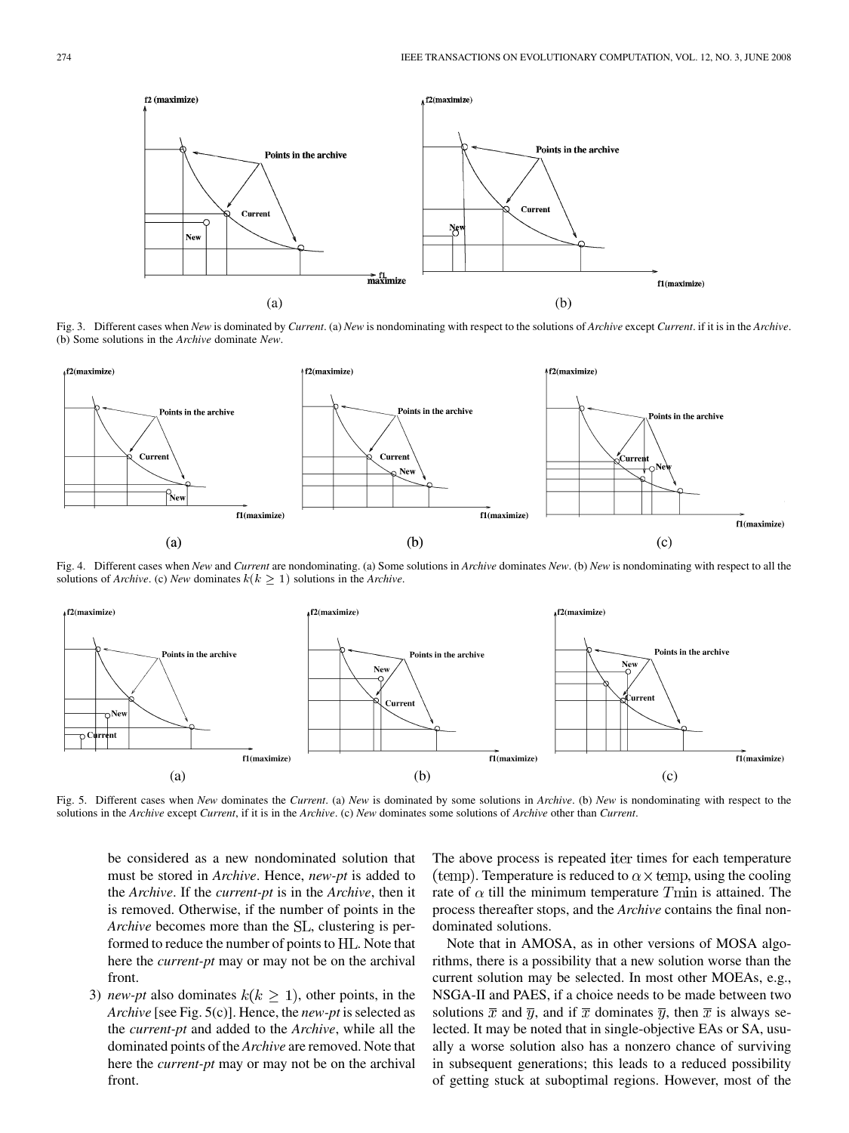

Fig. 3. Different cases when *New* is dominated by *Current*. (a) *New* is nondominating with respect to the solutions of *Archive* except *Current*. if it is in the *Archive*. (b) Some solutions in the *Archive* dominate *New*.



Fig. 4. Different cases when *New* and *Current* are nondominating. (a) Some solutions in *Archive* dominates *New*. (b) *New* is nondominating with respect to all the solutions of *Archive*. (c) *New* dominates  $k(k \geq 1)$  solutions in the *Archive*.



Fig. 5. Different cases when *New* dominates the *Current*. (a) *New* is dominated by some solutions in *Archive*. (b) *New* is nondominating with respect to the solutions in the *Archive* except *Current*, if it is in the *Archive*. (c) *New* dominates some solutions of *Archive* other than *Current*.

be considered as a new nondominated solution that must be stored in *Archive*. Hence, *new-pt* is added to the *Archive*. If the *current-pt* is in the *Archive*, then it is removed. Otherwise, if the number of points in the *Archive* becomes more than the SL, clustering is performed to reduce the number of points to HL. Note that here the *current-pt* may or may not be on the archival front.

3) *new-pt* also dominates  $k(k \ge 1)$ , other points, in the *Archive* [see Fig. 5(c)]. Hence, the *new-pt* is selected as the *current-pt* and added to the *Archive*, while all the dominated points of the *Archive* are removed. Note that here the *current-pt* may or may not be on the archival front.

The above process is repeated iter times for each temperature (temp). Temperature is reduced to  $\alpha \times$  temp, using the cooling rate of  $\alpha$  till the minimum temperature Tmin is attained. The process thereafter stops, and the *Archive* contains the final nondominated solutions.

Note that in AMOSA, as in other versions of MOSA algorithms, there is a possibility that a new solution worse than the current solution may be selected. In most other MOEAs, e.g., NSGA-II and PAES, if a choice needs to be made between two solutions  $\overline{x}$  and  $\overline{y}$ , and if  $\overline{x}$  dominates  $\overline{y}$ , then  $\overline{x}$  is always selected. It may be noted that in single-objective EAs or SA, usually a worse solution also has a nonzero chance of surviving in subsequent generations; this leads to a reduced possibility of getting stuck at suboptimal regions. However, most of the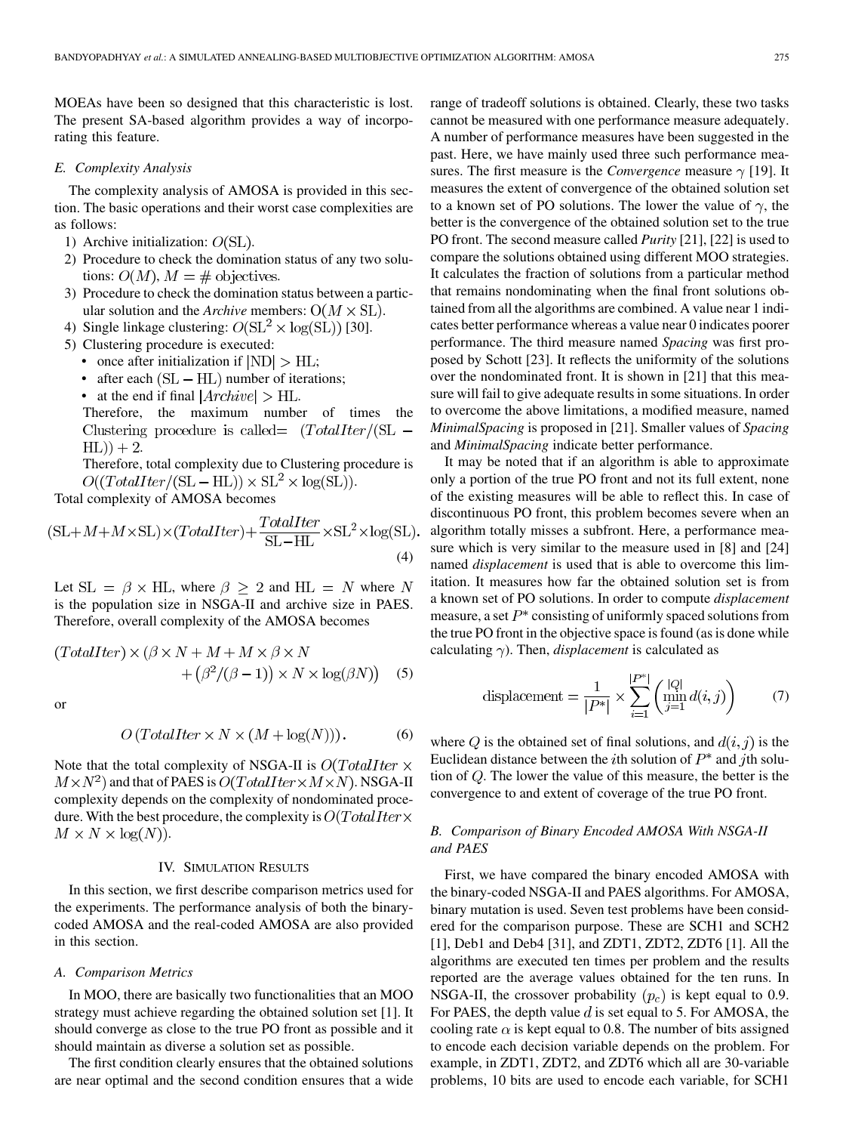MOEAs have been so designed that this characteristic is lost. The present SA-based algorithm provides a way of incorporating this feature.

### *E. Complexity Analysis*

The complexity analysis of AMOSA is provided in this section. The basic operations and their worst case complexities are as follows:

- 1) Archive initialization:  $O(SL)$ .
- 2) Procedure to check the domination status of any two solutions:  $O(M)$ ,  $M = \text{\#}$  objectives.
- 3) Procedure to check the domination status between a particular solution and the *Archive* members:  $O(M \times SL)$ .
- 4) Single linkage clustering:  $O(SL^2 \times log(SL))$  [30].
- 5) Clustering procedure is executed:
	- once after initialization if  $|ND| > HL$ ;
	- after each  $(SL HL)$  number of iterations;
	- at the end if final  $|Archive| > \text{HL}$ .

Therefore, the maximum number of times the Clustering procedure is called=  $(Totallter/(SL HL$ ) + 2.

Therefore, total complexity due to Clustering procedure is  $O((TotalIter/(\mathrm{SL-HL})) \times \mathrm{SL}^2 \times \log(\mathrm{SL}))$ .

Total complexity of AMOSA becomes

$$
(SL+M+M\times SL)\times (TotalIter) + \frac{TotalIter}{SL-HL} \times SL^{2}\times \log(SL).
$$
\n(4)

Let  $SL = \beta \times HL$ , where  $\beta \geq 2$  and  $HL = N$  where N is the population size in NSGA-II and archive size in PAES. Therefore, overall complexity of the AMOSA becomes

$$
(TotalIter) \times (\beta \times N + M + M \times \beta \times N + (\beta^2/(\beta - 1)) \times N \times \log(\beta N))
$$
 (5)

or

$$
O(TotalIter \times N \times (M + \log(N))).
$$
 (6)

Note that the total complexity of NSGA-II is  $O(TotalIter \times$  $M \times N^2$ ) and that of PAES is  $O(TotalIter \times M \times N)$ . NSGA-II complexity depends on the complexity of nondominated procedure. With the best procedure, the complexity is  $O(Totallter \times$  $M \times N \times \log(N)$ ).

### IV. SIMULATION RESULTS

In this section, we first describe comparison metrics used for the experiments. The performance analysis of both the binarycoded AMOSA and the real-coded AMOSA are also provided in this section.

#### *A. Comparison Metrics*

In MOO, there are basically two functionalities that an MOO strategy must achieve regarding the obtained solution set [1]. It should converge as close to the true PO front as possible and it should maintain as diverse a solution set as possible.

The first condition clearly ensures that the obtained solutions are near optimal and the second condition ensures that a wide

range of tradeoff solutions is obtained. Clearly, these two tasks cannot be measured with one performance measure adequately. A number of performance measures have been suggested in the past. Here, we have mainly used three such performance measures. The first measure is the *Convergence* measure  $\gamma$  [19]. It measures the extent of convergence of the obtained solution set to a known set of PO solutions. The lower the value of  $\gamma$ , the better is the convergence of the obtained solution set to the true PO front. The second measure called *Purity* [21], [22] is used to compare the solutions obtained using different MOO strategies. It calculates the fraction of solutions from a particular method that remains nondominating when the final front solutions obtained from all the algorithms are combined. A value near 1 indicates better performance whereas a value near 0 indicates poorer performance. The third measure named *Spacing* was first proposed by Schott [23]. It reflects the uniformity of the solutions over the nondominated front. It is shown in [21] that this measure will fail to give adequate results in some situations. In order to overcome the above limitations, a modified measure, named *MinimalSpacing* is proposed in [21]. Smaller values of *Spacing* and *MinimalSpacing* indicate better performance.

It may be noted that if an algorithm is able to approximate only a portion of the true PO front and not its full extent, none of the existing measures will be able to reflect this. In case of discontinuous PO front, this problem becomes severe when an algorithm totally misses a subfront. Here, a performance measure which is very similar to the measure used in [8] and [24] named *displacement* is used that is able to overcome this limitation. It measures how far the obtained solution set is from a known set of PO solutions. In order to compute *displacement* measure, a set  $P^*$  consisting of uniformly spaced solutions from the true PO front in the objective space is found (as is done while calculating  $\gamma$ ). Then, *displacement* is calculated as

displacement = 
$$
\frac{1}{|P^*|} \times \sum_{i=1}^{|P^*|} \left( \min_{j=1}^{|Q|} d(i,j) \right)
$$
 (7)

where Q is the obtained set of final solutions, and  $d(i, j)$  is the Euclidean distance between the *i*th solution of  $P^*$  and *j*th solution of  $Q$ . The lower the value of this measure, the better is the convergence to and extent of coverage of the true PO front.

## *B. Comparison of Binary Encoded AMOSA With NSGA-II and PAES*

First, we have compared the binary encoded AMOSA with the binary-coded NSGA-II and PAES algorithms. For AMOSA, binary mutation is used. Seven test problems have been considered for the comparison purpose. These are SCH1 and SCH2 [1], Deb1 and Deb4 [31], and ZDT1, ZDT2, ZDT6 [1]. All the algorithms are executed ten times per problem and the results reported are the average values obtained for the ten runs. In NSGA-II, the crossover probability  $(p_c)$  is kept equal to 0.9. For PAES, the depth value  $d$  is set equal to 5. For AMOSA, the cooling rate  $\alpha$  is kept equal to 0.8. The number of bits assigned to encode each decision variable depends on the problem. For example, in ZDT1, ZDT2, and ZDT6 which all are 30-variable problems, 10 bits are used to encode each variable, for SCH1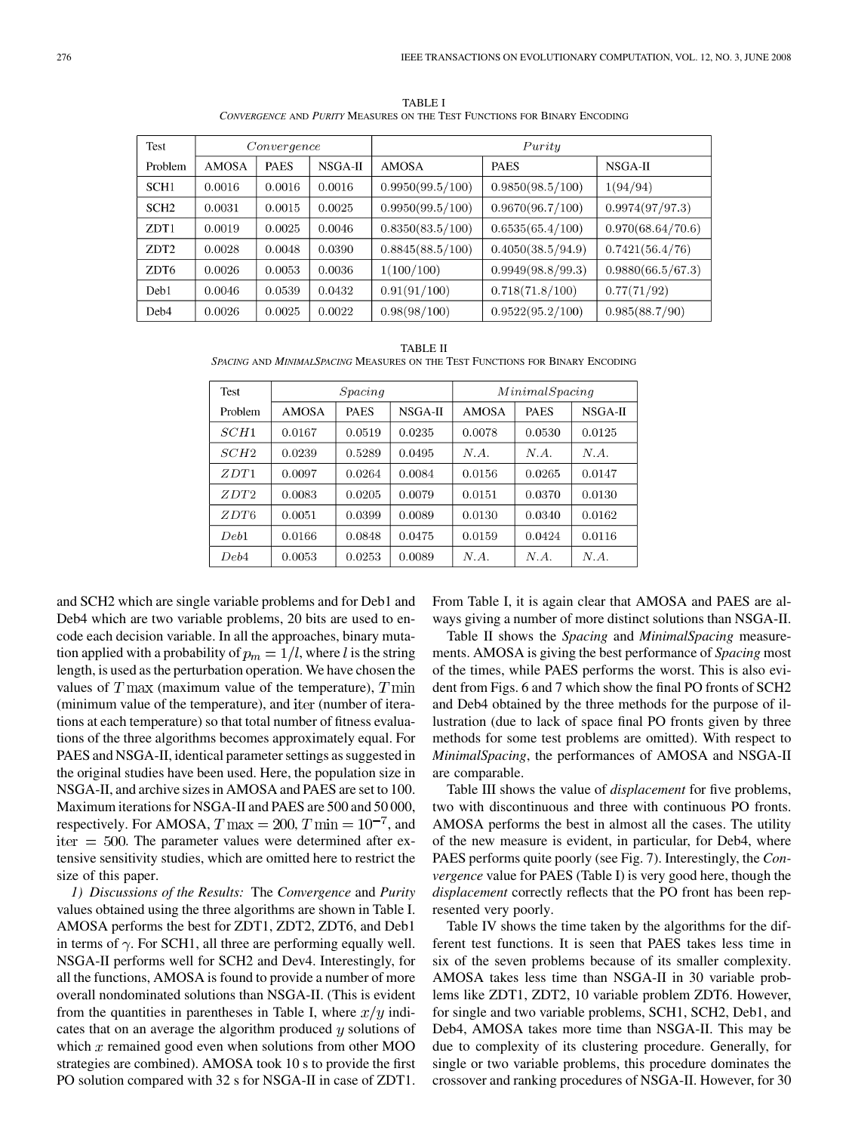| <b>Test</b>      | Convergence  |             |         | Purity           |                   |                   |  |
|------------------|--------------|-------------|---------|------------------|-------------------|-------------------|--|
| Problem          | <b>AMOSA</b> | <b>PAES</b> | NSGA-II | <b>AMOSA</b>     | <b>PAES</b>       | NSGA-II           |  |
| SCH <sub>1</sub> | 0.0016       | 0.0016      | 0.0016  | 0.9950(99.5/100) | 0.9850(98.5/100)  | 1(94/94)          |  |
| SCH <sub>2</sub> | 0.0031       | 0.0015      | 0.0025  | 0.9950(99.5/100) | 0.9670(96.7/100)  | 0.9974(97/97.3)   |  |
| ZDT1             | 0.0019       | 0.0025      | 0.0046  | 0.8350(83.5/100) | 0.6535(65.4/100)  | 0.970(68.64/70.6) |  |
| ZDT <sub>2</sub> | 0.0028       | 0.0048      | 0.0390  | 0.8845(88.5/100) | 0.4050(38.5/94.9) | 0.7421(56.4/76)   |  |
| ZDT6             | 0.0026       | 0.0053      | 0.0036  | 1(100/100)       | 0.9949(98.8/99.3) | 0.9880(66.5/67.3) |  |
| Deb1             | 0.0046       | 0.0539      | 0.0432  | 0.91(91/100)     | 0.718(71.8/100)   | 0.77(71/92)       |  |
| Deb <sub>4</sub> | 0.0026       | 0.0025      | 0.0022  | 0.98(98/100)     | 0.9522(95.2/100)  | 0.985(88.7/90)    |  |

TABLE I *CONVERGENCE* AND *PURITY* MEASURES ON THE TEST FUNCTIONS FOR BINARY ENCODING

TABLE II *SPACING* AND *MINIMALSPACING* MEASURES ON THE TEST FUNCTIONS FOR BINARY ENCODING

| <b>Test</b> |              | Spaceing    |                | Minimal Spacing |             |         |  |
|-------------|--------------|-------------|----------------|-----------------|-------------|---------|--|
| Problem     | <b>AMOSA</b> | <b>PAES</b> | <b>NSGA-II</b> | <b>AMOSA</b>    | <b>PAES</b> | NSGA-II |  |
| SCH1        | 0.0167       | 0.0519      | 0.0235         | 0.0078          | 0.0530      | 0.0125  |  |
| SCH2        | 0.0239       | 0.5289      | 0.0495         | N.A.            | N.A.        | N.A.    |  |
| ZDT1        | 0.0097       | 0.0264      | 0.0084         | 0.0156          | 0.0265      | 0.0147  |  |
| ZDT2        | 0.0083       | 0.0205      | 0.0079         | 0.0151          | 0.0370      | 0.0130  |  |
| ZDT6        | 0.0051       | 0.0399      | 0.0089         | 0.0130          | 0.0340      | 0.0162  |  |
| Deb1        | 0.0166       | 0.0848      | 0.0475         | 0.0159          | 0.0424      | 0.0116  |  |
| Deb4        | 0.0053       | 0.0253      | 0.0089         | N.A.            | N.A.        | N.A.    |  |

and SCH2 which are single variable problems and for Deb1 and Deb4 which are two variable problems, 20 bits are used to encode each decision variable. In all the approaches, binary mutation applied with a probability of  $p_m = 1/l$ , where l is the string length, is used as the perturbation operation. We have chosen the values of  $T$  max (maximum value of the temperature),  $T$  min (minimum value of the temperature), and iter (number of iterations at each temperature) so that total number of fitness evaluations of the three algorithms becomes approximately equal. For PAES and NSGA-II, identical parameter settings as suggested in the original studies have been used. Here, the population size in NSGA-II, and archive sizes in AMOSA and PAES are set to 100. Maximum iterations for NSGA-II and PAES are 500 and 50 000, respectively. For AMOSA,  $T \max = 200$ ,  $T \min = 10^{-7}$ , and  $\text{iter} = 500$ . The parameter values were determined after extensive sensitivity studies, which are omitted here to restrict the size of this paper.

*1) Discussions of the Results:* The *Convergence* and *Purity* values obtained using the three algorithms are shown in Table I. AMOSA performs the best for ZDT1, ZDT2, ZDT6, and Deb1 in terms of  $\gamma$ . For SCH1, all three are performing equally well. NSGA-II performs well for SCH2 and Dev4. Interestingly, for all the functions, AMOSA is found to provide a number of more overall nondominated solutions than NSGA-II. (This is evident from the quantities in parentheses in Table I, where  $x/y$  indicates that on an average the algorithm produced  $y$  solutions of which  $x$  remained good even when solutions from other MOO strategies are combined). AMOSA took 10 s to provide the first PO solution compared with 32 s for NSGA-II in case of ZDT1. From Table I, it is again clear that AMOSA and PAES are always giving a number of more distinct solutions than NSGA-II.

Table II shows the *Spacing* and *MinimalSpacing* measurements. AMOSA is giving the best performance of *Spacing* most of the times, while PAES performs the worst. This is also evident from Figs. 6 and 7 which show the final PO fronts of SCH2 and Deb4 obtained by the three methods for the purpose of illustration (due to lack of space final PO fronts given by three methods for some test problems are omitted). With respect to *MinimalSpacing*, the performances of AMOSA and NSGA-II are comparable.

Table III shows the value of *displacement* for five problems, two with discontinuous and three with continuous PO fronts. AMOSA performs the best in almost all the cases. The utility of the new measure is evident, in particular, for Deb4, where PAES performs quite poorly (see Fig. 7). Interestingly, the *Convergence* value for PAES (Table I) is very good here, though the *displacement* correctly reflects that the PO front has been represented very poorly.

Table IV shows the time taken by the algorithms for the different test functions. It is seen that PAES takes less time in six of the seven problems because of its smaller complexity. AMOSA takes less time than NSGA-II in 30 variable problems like ZDT1, ZDT2, 10 variable problem ZDT6. However, for single and two variable problems, SCH1, SCH2, Deb1, and Deb4, AMOSA takes more time than NSGA-II. This may be due to complexity of its clustering procedure. Generally, for single or two variable problems, this procedure dominates the crossover and ranking procedures of NSGA-II. However, for 30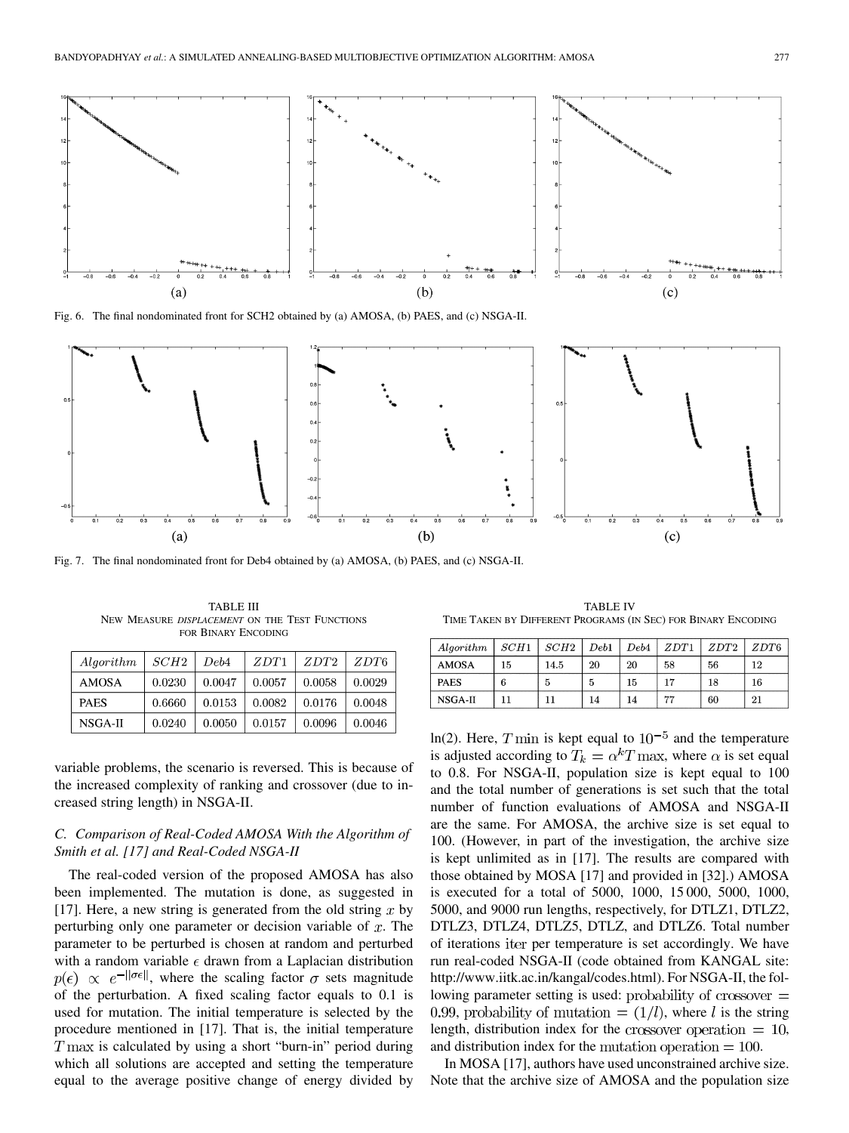

Fig. 6. The final nondominated front for SCH2 obtained by (a) AMOSA, (b) PAES, and (c) NSGA-II.



Fig. 7. The final nondominated front for Deb4 obtained by (a) AMOSA, (b) PAES, and (c) NSGA-II.

| Algorithm    | SCH2   | Deb4   | ZDT1   | ZDT2   | ZDT6   |
|--------------|--------|--------|--------|--------|--------|
| <b>AMOSA</b> | 0.0230 | 0.0047 | 0.0057 | 0.0058 | 0.0029 |
| <b>PAES</b>  | 0.6660 | 0.0153 | 0.0082 | 0.0176 | 0.0048 |
| NSGA-II      | 0.0240 | 0.0050 | 0.0157 | 0.0096 | 0.0046 |

TABLE III NEW MEASURE *DISPLACEMENT* ON THE TEST FUNCTIONS FOR BINARY ENCODING

variable problems, the scenario is reversed. This is because of the increased complexity of ranking and crossover (due to increased string length) in NSGA-II.

# *C. Comparison of Real-Coded AMOSA With the Algorithm of Smith et al. [17] and Real-Coded NSGA-II*

The real-coded version of the proposed AMOSA has also been implemented. The mutation is done, as suggested in [17]. Here, a new string is generated from the old string x by perturbing only one parameter or decision variable of  $x$ . The parameter to be perturbed is chosen at random and perturbed with a random variable  $\epsilon$  drawn from a Laplacian distribution  $p(\epsilon) \propto e^{-\|\sigma\epsilon\|}$ , where the scaling factor  $\sigma$  sets magnitude of the perturbation. A fixed scaling factor equals to 0.1 is used for mutation. The initial temperature is selected by the procedure mentioned in [17]. That is, the initial temperature  $T$  max is calculated by using a short "burn-in" period during which all solutions are accepted and setting the temperature equal to the average positive change of energy divided by

TABLE IV TIME TAKEN BY DIFFERENT PROGRAMS (IN SEC) FOR BINARY ENCODING

| Algorithm    | SCH1 | SCH2 | Deb1 | Deb4 | ZDT1 | ZDT2 | ZDT6 |
|--------------|------|------|------|------|------|------|------|
| <b>AMOSA</b> | 15   | 14.5 | 20   | 20   | 58   | 56   | 12   |
| <b>PAES</b>  |      | 5    | 5    | 15   | 17   | 18   | 16   |
| $NSGA-II$    |      |      | 14   | 14   | 77   | 60   | 21   |

ln(2). Here, T min is kept equal to  $10^{-5}$  and the temperature is adjusted according to  $T_k = \alpha^k T$  max, where  $\alpha$  is set equal to 0.8. For NSGA-II, population size is kept equal to 100 and the total number of generations is set such that the total number of function evaluations of AMOSA and NSGA-II are the same. For AMOSA, the archive size is set equal to 100. (However, in part of the investigation, the archive size is kept unlimited as in [17]. The results are compared with those obtained by MOSA [17] and provided in [32].) AMOSA is executed for a total of 5000, 1000, 15 000, 5000, 1000, 5000, and 9000 run lengths, respectively, for DTLZ1, DTLZ2, DTLZ3, DTLZ4, DTLZ5, DTLZ, and DTLZ6. Total number of iterations iter per temperature is set accordingly. We have run real-coded NSGA-II (code obtained from KANGAL site: http://www.iitk.ac.in/kangal/codes.html). For NSGA-II, the following parameter setting is used: probability of crossover  $=$ 0.99, probability of mutation  $= (1/l)$ , where l is the string length, distribution index for the crossover operation  $= 10$ , and distribution index for the mutation operation  $= 100$ .

In MOSA [17], authors have used unconstrained archive size. Note that the archive size of AMOSA and the population size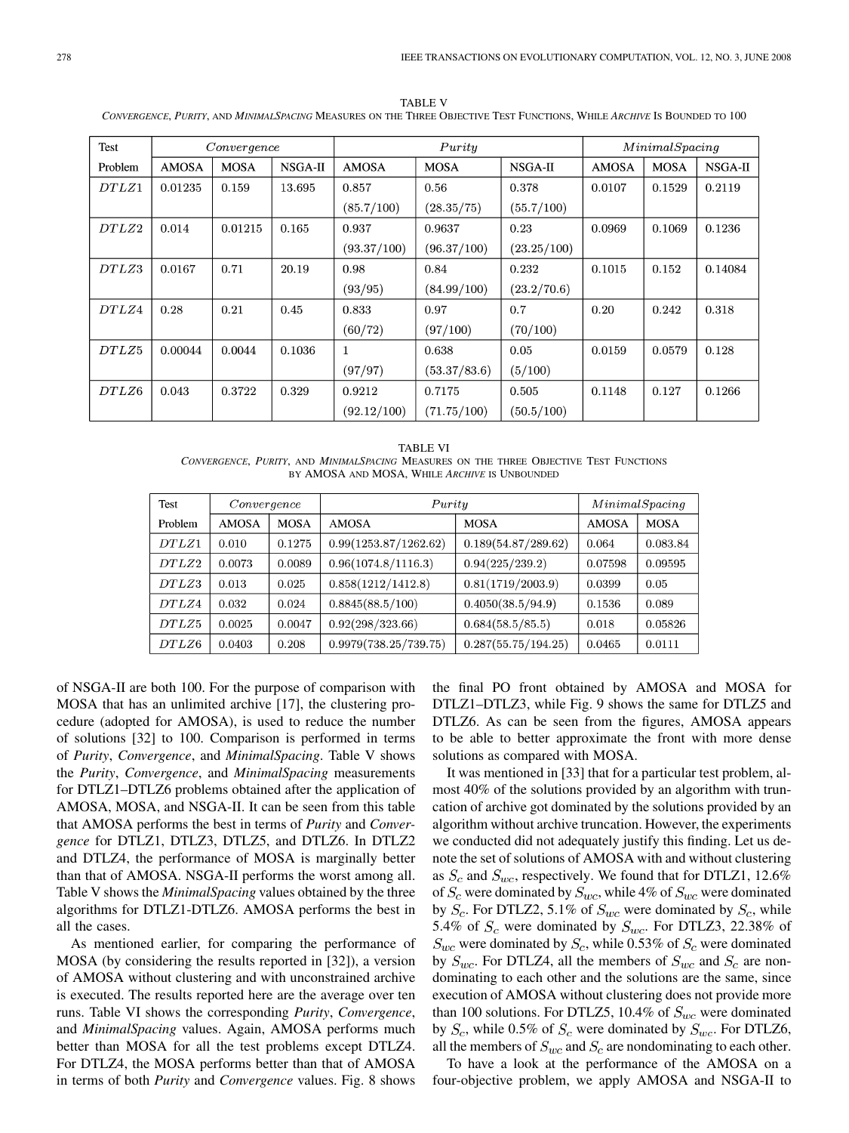| Test    | Convergence  |             | Purity    |              |              | Minimal Spacing |              |             |         |
|---------|--------------|-------------|-----------|--------------|--------------|-----------------|--------------|-------------|---------|
| Problem | <b>AMOSA</b> | <b>MOSA</b> | $NSGA-II$ | <b>AMOSA</b> | <b>MOSA</b>  | NSGA-II         | <b>AMOSA</b> | <b>MOSA</b> | NSGA-II |
| DTLZ1   | 0.01235      | 0.159       | 13.695    | 0.857        | 0.56         | 0.378           | 0.0107       | 0.1529      | 0.2119  |
|         |              |             |           | (85.7/100)   | (28.35/75)   | (55.7/100)      |              |             |         |
| DTLZ2   | 0.014        | 0.01215     | 0.165     | 0.937        | 0.9637       | 0.23            | 0.0969       | 0.1069      | 0.1236  |
|         |              |             |           | (93.37/100)  | (96.37/100)  | (23.25/100)     |              |             |         |
| DTLZ3   | 0.0167       | 0.71        | 20.19     | 0.98         | 0.84         | 0.232           | 0.1015       | 0.152       | 0.14084 |
|         |              |             |           | (93/95)      | (84.99/100)  | (23.2/70.6)     |              |             |         |
| DTLZ4   | 0.28         | 0.21        | 0.45      | 0.833        | 0.97         | 0.7             | 0.20         | 0.242       | 0.318   |
|         |              |             |           | (60/72)      | (97/100)     | (70/100)        |              |             |         |
| DTLZ5   | 0.00044      | 0.0044      | 0.1036    | $\mathbf{1}$ | 0.638        | 0.05            | 0.0159       | 0.0579      | 0.128   |
|         |              |             |           | (97/97)      | (53.37/83.6) | (5/100)         |              |             |         |
| DTLZ6   | 0.043        | 0.3722      | 0.329     | 0.9212       | 0.7175       | 0.505           | 0.1148       | 0.127       | 0.1266  |
|         |              |             |           | (92.12/100)  | (71.75/100)  | (50.5/100)      |              |             |         |

TABLE V *CONVERGENCE*, *PURITY*, AND *MINIMALSPACING* MEASURES ON THE THREE OBJECTIVE TEST FUNCTIONS, WHILE *ARCHIVE* IS BOUNDED TO 100

TABLE VI *CONVERGENCE*, *PURITY*, AND *MINIMALSPACING* MEASURES ON THE THREE OBJECTIVE TEST FUNCTIONS BY AMOSA AND MOSA, WHILE *ARCHIVE* IS UNBOUNDED

| <b>Test</b> | Convergence  |             | Purity                | Minimal Spacing     |              |             |
|-------------|--------------|-------------|-----------------------|---------------------|--------------|-------------|
| Problem     | <b>AMOSA</b> | <b>MOSA</b> | <b>AMOSA</b>          | <b>MOSA</b>         | <b>AMOSA</b> | <b>MOSA</b> |
| DTLZ1       | 0.010        | 0.1275      | 0.99(1253.87/1262.62) | 0.189(54.87/289.62) | 0.064        | 0.083.84    |
| DTLZ2       | 0.0073       | 0.0089      | 0.96(1074.8/1116.3)   | 0.94(225/239.2)     | 0.07598      | 0.09595     |
| DTLZ3       | 0.013        | 0.025       | 0.858(1212/1412.8)    | 0.81(1719/2003.9)   | 0.0399       | 0.05        |
| DTLZ4       | 0.032        | 0.024       | 0.8845(88.5/100)      | 0.4050(38.5/94.9)   | 0.1536       | 0.089       |
| DTLZ5       | 0.0025       | 0.0047      | 0.92(298/323.66)      | 0.684(58.5/85.5)    | 0.018        | 0.05826     |
| DTLZ6       | 0.0403       | 0.208       | 0.9979(738.25/739.75) | 0.287(55.75/194.25) | 0.0465       | 0.0111      |

of NSGA-II are both 100. For the purpose of comparison with MOSA that has an unlimited archive [17], the clustering procedure (adopted for AMOSA), is used to reduce the number of solutions [32] to 100. Comparison is performed in terms of *Purity*, *Convergence*, and *MinimalSpacing*. Table V shows the *Purity*, *Convergence*, and *MinimalSpacing* measurements for DTLZ1–DTLZ6 problems obtained after the application of AMOSA, MOSA, and NSGA-II. It can be seen from this table that AMOSA performs the best in terms of *Purity* and *Convergence* for DTLZ1, DTLZ3, DTLZ5, and DTLZ6. In DTLZ2 and DTLZ4, the performance of MOSA is marginally better than that of AMOSA. NSGA-II performs the worst among all. Table V shows the *MinimalSpacing* values obtained by the three algorithms for DTLZ1-DTLZ6. AMOSA performs the best in all the cases.

As mentioned earlier, for comparing the performance of MOSA (by considering the results reported in [32]), a version of AMOSA without clustering and with unconstrained archive is executed. The results reported here are the average over ten runs. Table VI shows the corresponding *Purity*, *Convergence*, and *MinimalSpacing* values. Again, AMOSA performs much better than MOSA for all the test problems except DTLZ4. For DTLZ4, the MOSA performs better than that of AMOSA in terms of both *Purity* and *Convergence* values. Fig. 8 shows

the final PO front obtained by AMOSA and MOSA for DTLZ1–DTLZ3, while Fig. 9 shows the same for DTLZ5 and DTLZ6. As can be seen from the figures, AMOSA appears to be able to better approximate the front with more dense solutions as compared with MOSA.

It was mentioned in [33] that for a particular test problem, almost 40% of the solutions provided by an algorithm with truncation of archive got dominated by the solutions provided by an algorithm without archive truncation. However, the experiments we conducted did not adequately justify this finding. Let us denote the set of solutions of AMOSA with and without clustering as  $S_c$  and  $S_{wc}$ , respectively. We found that for DTLZ1, 12.6% of  $S_c$  were dominated by  $S_{wc}$ , while 4% of  $S_{wc}$  were dominated by  $S_c$ . For DTLZ2, 5.1% of  $S_{wc}$  were dominated by  $S_c$ , while 5.4% of  $S_c$  were dominated by  $S_{wc}$ . For DTLZ3, 22.38% of  $S_{wc}$  were dominated by  $S_c$ , while 0.53% of  $S_c$  were dominated by  $S_{wc}$ . For DTLZ4, all the members of  $S_{wc}$  and  $S_c$  are nondominating to each other and the solutions are the same, since execution of AMOSA without clustering does not provide more than 100 solutions. For DTLZ5, 10.4% of  $S_{wc}$  were dominated by  $S_c$ , while 0.5% of  $S_c$  were dominated by  $S_{wc}$ . For DTLZ6, all the members of  $S_{wc}$  and  $S_c$  are nondominating to each other.

To have a look at the performance of the AMOSA on a four-objective problem, we apply AMOSA and NSGA-II to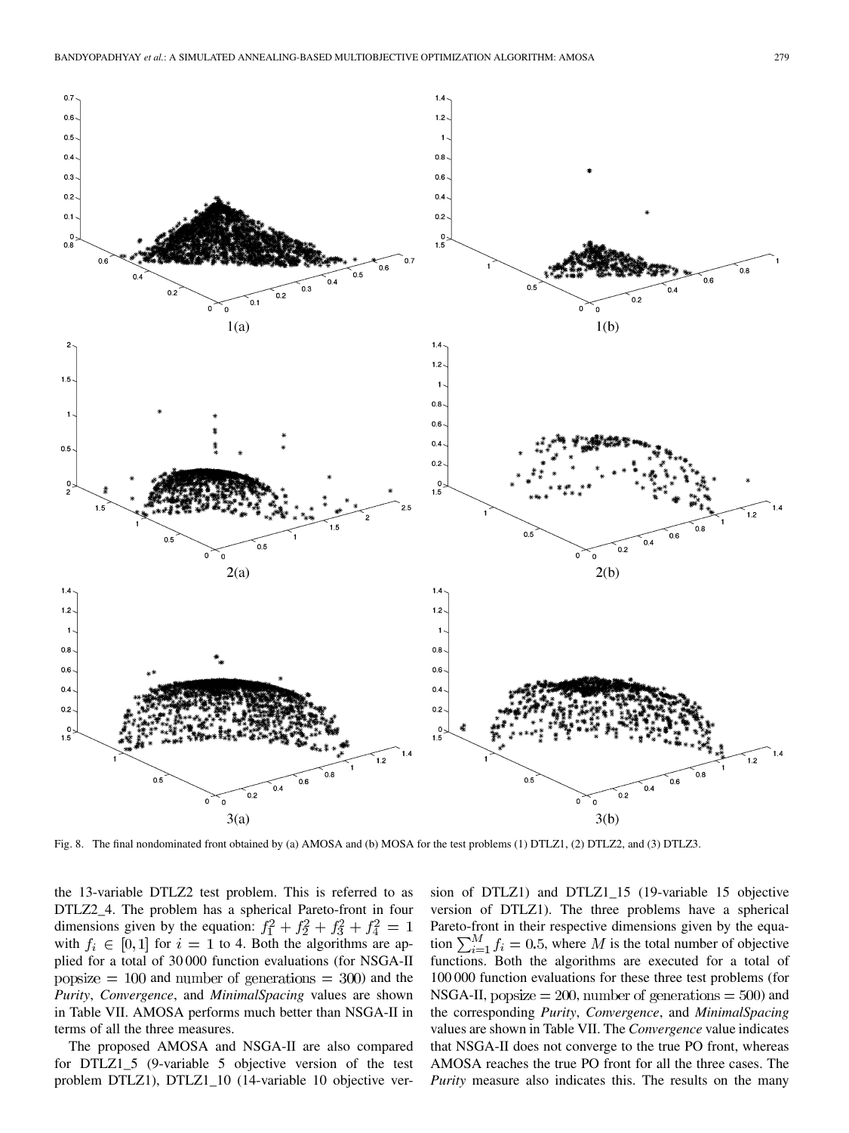

Fig. 8. The final nondominated front obtained by (a) AMOSA and (b) MOSA for the test problems (1) DTLZ1, (2) DTLZ2, and (3) DTLZ3.

the 13-variable DTLZ2 test problem. This is referred to as DTLZ2\_4. The problem has a spherical Pareto-front in four dimensions given by the equation:  $f_1^2 + f_2^2 + f_3^2 + f_4^2 = 1$ with  $f_i \in [0,1]$  for  $i = 1$  to 4. Both the algorithms are applied for a total of 30 000 function evaluations (for NSGA-II popsize  $= 100$  and number of generations  $= 300$  and the *Purity*, *Convergence*, and *MinimalSpacing* values are shown in Table VII. AMOSA performs much better than NSGA-II in terms of all the three measures.

The proposed AMOSA and NSGA-II are also compared for DTLZ1\_5 (9-variable 5 objective version of the test problem DTLZ1), DTLZ1\_10 (14-variable 10 objective version of DTLZ1) and DTLZ1\_15 (19-variable 15 objective version of DTLZ1). The three problems have a spherical Pareto-front in their respective dimensions given by the equation  $\sum_{i=1}^{M} f_i = 0.5$ , where M is the total number of objective functions. Both the algorithms are executed for a total of 100 000 function evaluations for these three test problems (for NSGA-II, popsize  $= 200$ , number of generations  $= 500$ ) and the corresponding *Purity*, *Convergence*, and *MinimalSpacing* values are shown in Table VII. The *Convergence* value indicates that NSGA-II does not converge to the true PO front, whereas AMOSA reaches the true PO front for all the three cases. The *Purity* measure also indicates this. The results on the many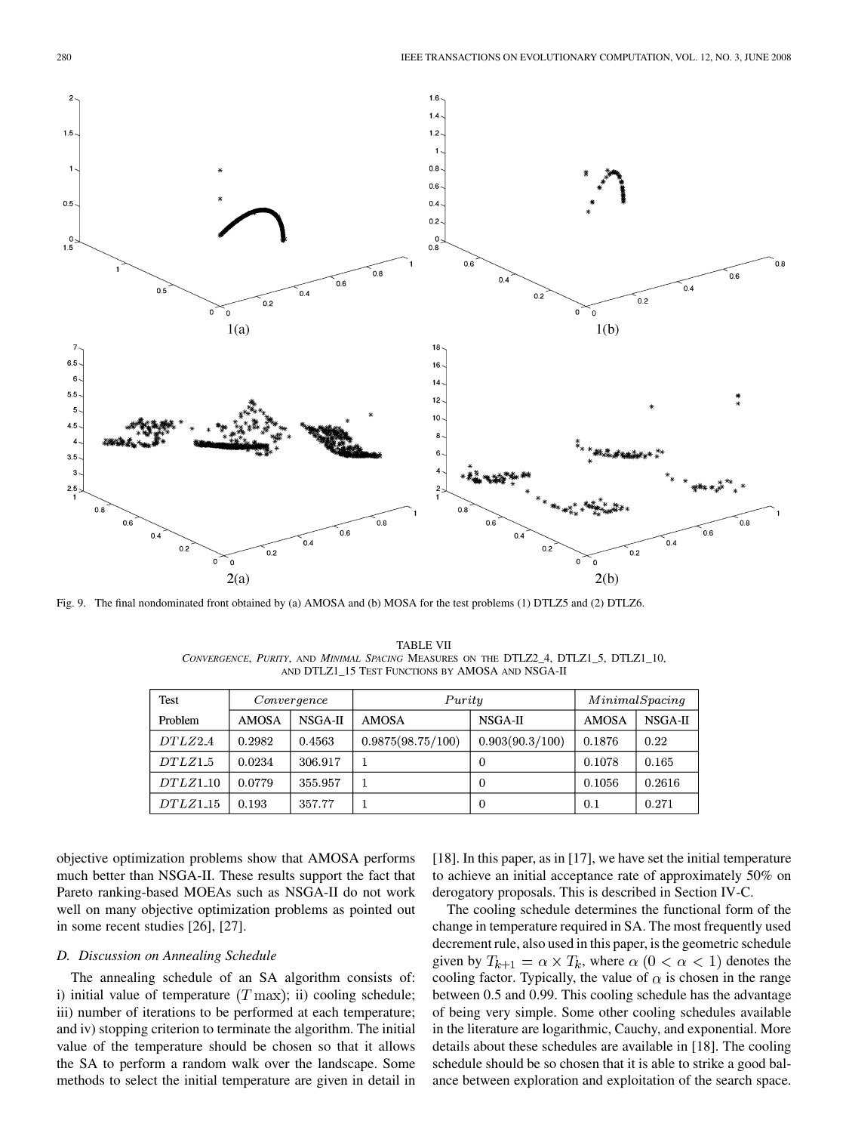

Fig. 9. The final nondominated front obtained by (a) AMOSA and (b) MOSA for the test problems (1) DTLZ5 and (2) DTLZ6.

| TABLE VII                                                                            |
|--------------------------------------------------------------------------------------|
| CONVERGENCE, PURITY, AND MINIMAL SPACING MEASURES ON THE DTLZ2_4, DTLZ1 5, DTLZ1 10, |
| AND DTLZ1 15 TEST FUNCTIONS BY AMOSA AND NSGA-II                                     |

| <b>Test</b> | Convergence  |         | Purity            | Minimal Spacing |              |         |
|-------------|--------------|---------|-------------------|-----------------|--------------|---------|
| Problem     | <b>AMOSA</b> | NSGA-II | <b>AMOSA</b>      | NSGA-II         | <b>AMOSA</b> | NSGA-II |
| DTLZ2.4     | 0.2982       | 0.4563  | 0.9875(98.75/100) | 0.903(90.3/100) | 0.1876       | 0.22    |
| DTLZ1.5     | 0.0234       | 306.917 |                   | 0               | 0.1078       | 0.165   |
| DTLZ1.10    | 0.0779       | 355.957 |                   | 0               | 0.1056       | 0.2616  |
| DTLZ1.15    | 0.193        | 357.77  |                   | 0               | 0.1          | 0.271   |

objective optimization problems show that AMOSA performs much better than NSGA-II. These results support the fact that Pareto ranking-based MOEAs such as NSGA-II do not work well on many objective optimization problems as pointed out in some recent studies [26], [27].

## *D. Discussion on Annealing Schedule*

The annealing schedule of an SA algorithm consists of: i) initial value of temperature  $(T \max)$ ; ii) cooling schedule; iii) number of iterations to be performed at each temperature; and iv) stopping criterion to terminate the algorithm. The initial value of the temperature should be chosen so that it allows the SA to perform a random walk over the landscape. Some methods to select the initial temperature are given in detail in [18]. In this paper, as in [17], we have set the initial temperature to achieve an initial acceptance rate of approximately 50% on derogatory proposals. This is described in Section IV-C.

The cooling schedule determines the functional form of the change in temperature required in SA. The most frequently used decrement rule, also used in this paper, is the geometric schedule given by  $T_{k+1} = \alpha \times T_k$ , where  $\alpha$  (0 <  $\alpha$  < 1) denotes the cooling factor. Typically, the value of  $\alpha$  is chosen in the range between 0.5 and 0.99. This cooling schedule has the advantage of being very simple. Some other cooling schedules available in the literature are logarithmic, Cauchy, and exponential. More details about these schedules are available in [18]. The cooling schedule should be so chosen that it is able to strike a good balance between exploration and exploitation of the search space.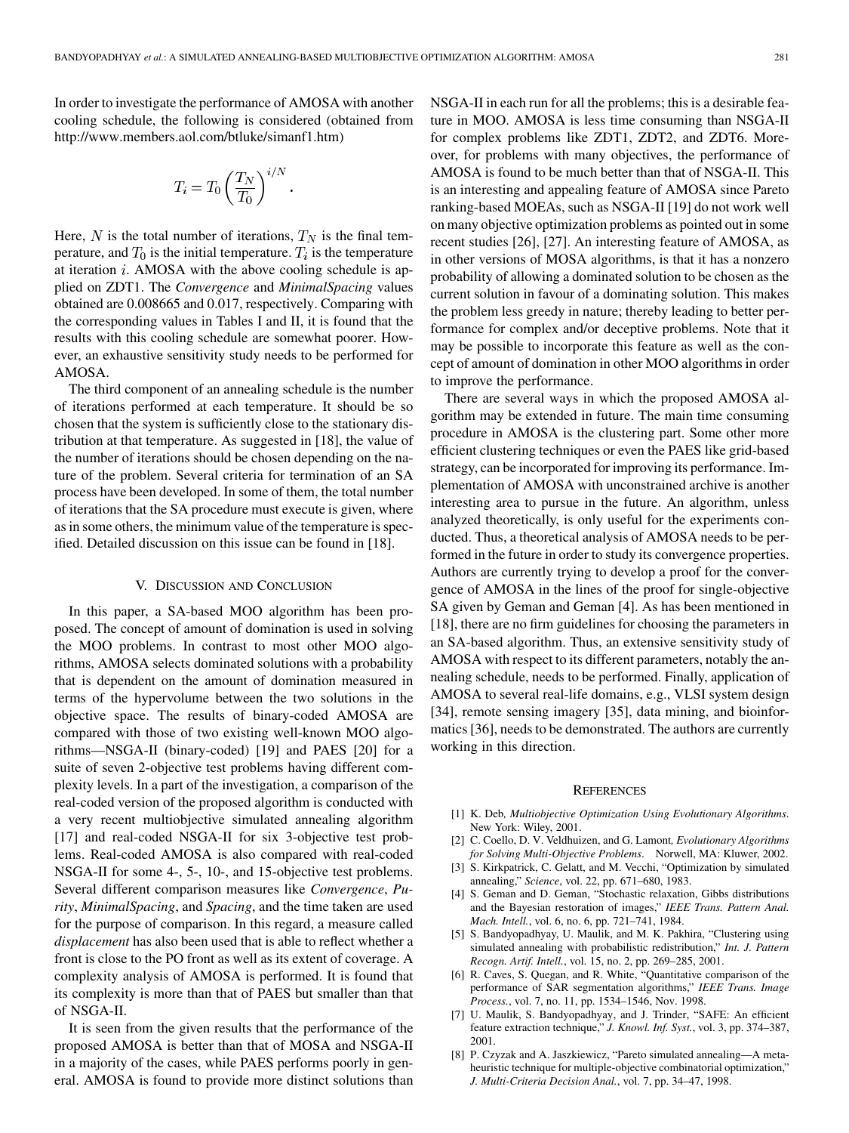In order to investigate the performance of AMOSA with another cooling schedule, the following is considered (obtained from http://www.members.aol.com/btluke/simanf1.htm)

$$
T_i = T_0 \left(\frac{T_N}{T_0}\right)^{i/N}
$$

Here,  $N$  is the total number of iterations,  $T_N$  is the final temperature, and  $T_0$  is the initial temperature.  $T_i$  is the temperature at iteration  $i$ . AMOSA with the above cooling schedule is applied on ZDT1. The *Convergence* and *MinimalSpacing* values obtained are 0.008665 and 0.017, respectively. Comparing with the corresponding values in Tables I and II, it is found that the results with this cooling schedule are somewhat poorer. However, an exhaustive sensitivity study needs to be performed for AMOSA.

The third component of an annealing schedule is the number of iterations performed at each temperature. It should be so chosen that the system is sufficiently close to the stationary distribution at that temperature. As suggested in [18], the value of the number of iterations should be chosen depending on the nature of the problem. Several criteria for termination of an SA process have been developed. In some of them, the total number of iterations that the SA procedure must execute is given, where as in some others, the minimum value of the temperature is specified. Detailed discussion on this issue can be found in [18].

#### V. DISCUSSION AND CONCLUSION

In this paper, a SA-based MOO algorithm has been proposed. The concept of amount of domination is used in solving the MOO problems. In contrast to most other MOO algorithms, AMOSA selects dominated solutions with a probability that is dependent on the amount of domination measured in terms of the hypervolume between the two solutions in the objective space. The results of binary-coded AMOSA are compared with those of two existing well-known MOO algorithms—NSGA-II (binary-coded) [19] and PAES [20] for a suite of seven 2-objective test problems having different complexity levels. In a part of the investigation, a comparison of the real-coded version of the proposed algorithm is conducted with a very recent multiobjective simulated annealing algorithm [17] and real-coded NSGA-II for six 3-objective test problems. Real-coded AMOSA is also compared with real-coded NSGA-II for some 4-, 5-, 10-, and 15-objective test problems. Several different comparison measures like *Convergence*, *Purity*, *MinimalSpacing*, and *Spacing*, and the time taken are used for the purpose of comparison. In this regard, a measure called *displacement* has also been used that is able to reflect whether a front is close to the PO front as well as its extent of coverage. A complexity analysis of AMOSA is performed. It is found that its complexity is more than that of PAES but smaller than that of NSGA-II.

It is seen from the given results that the performance of the proposed AMOSA is better than that of MOSA and NSGA-II in a majority of the cases, while PAES performs poorly in general. AMOSA is found to provide more distinct solutions than

NSGA-II in each run for all the problems; this is a desirable feature in MOO. AMOSA is less time consuming than NSGA-II for complex problems like ZDT1, ZDT2, and ZDT6. Moreover, for problems with many objectives, the performance of AMOSA is found to be much better than that of NSGA-II. This is an interesting and appealing feature of AMOSA since Pareto ranking-based MOEAs, such as NSGA-II [19] do not work well on many objective optimization problems as pointed out in some recent studies [26], [27]. An interesting feature of AMOSA, as in other versions of MOSA algorithms, is that it has a nonzero probability of allowing a dominated solution to be chosen as the current solution in favour of a dominating solution. This makes the problem less greedy in nature; thereby leading to better performance for complex and/or deceptive problems. Note that it may be possible to incorporate this feature as well as the concept of amount of domination in other MOO algorithms in order to improve the performance.

There are several ways in which the proposed AMOSA algorithm may be extended in future. The main time consuming procedure in AMOSA is the clustering part. Some other more efficient clustering techniques or even the PAES like grid-based strategy, can be incorporated for improving its performance. Implementation of AMOSA with unconstrained archive is another interesting area to pursue in the future. An algorithm, unless analyzed theoretically, is only useful for the experiments conducted. Thus, a theoretical analysis of AMOSA needs to be performed in the future in order to study its convergence properties. Authors are currently trying to develop a proof for the convergence of AMOSA in the lines of the proof for single-objective SA given by Geman and Geman [4]. As has been mentioned in [18], there are no firm guidelines for choosing the parameters in an SA-based algorithm. Thus, an extensive sensitivity study of AMOSA with respect to its different parameters, notably the annealing schedule, needs to be performed. Finally, application of AMOSA to several real-life domains, e.g., VLSI system design [34], remote sensing imagery [35], data mining, and bioinformatics [36], needs to be demonstrated. The authors are currently working in this direction.

#### **REFERENCES**

- [1] K. Deb*, Multiobjective Optimization Using Evolutionary Algorithms*. New York: Wiley, 2001.
- [2] C. Coello, D. V. Veldhuizen, and G. Lamont*, Evolutionary Algorithms for Solving Multi-Objective Problems*. Norwell, MA: Kluwer, 2002.
- [3] S. Kirkpatrick, C. Gelatt, and M. Vecchi, "Optimization by simulated annealing," *Science*, vol. 22, pp. 671–680, 1983.
- [4] S. Geman and D. Geman, "Stochastic relaxation, Gibbs distributions and the Bayesian restoration of images," *IEEE Trans. Pattern Anal. Mach. Intell.*, vol. 6, no. 6, pp. 721–741, 1984.
- [5] S. Bandyopadhyay, U. Maulik, and M. K. Pakhira, "Clustering using simulated annealing with probabilistic redistribution," *Int. J. Pattern Recogn. Artif. Intell.*, vol. 15, no. 2, pp. 269–285, 2001.
- [6] R. Caves, S. Quegan, and R. White, "Quantitative comparison of the performance of SAR segmentation algorithms," *IEEE Trans. Image Process.*, vol. 7, no. 11, pp. 1534–1546, Nov. 1998.
- [7] U. Maulik, S. Bandyopadhyay, and J. Trinder, "SAFE: An efficient feature extraction technique," *J. Knowl. Inf. Syst.*, vol. 3, pp. 374–387, 2001.
- [8] P. Czyzak and A. Jaszkiewicz, "Pareto simulated annealing—A metaheuristic technique for multiple-objective combinatorial optimization," *J. Multi-Criteria Decision Anal.*, vol. 7, pp. 34–47, 1998.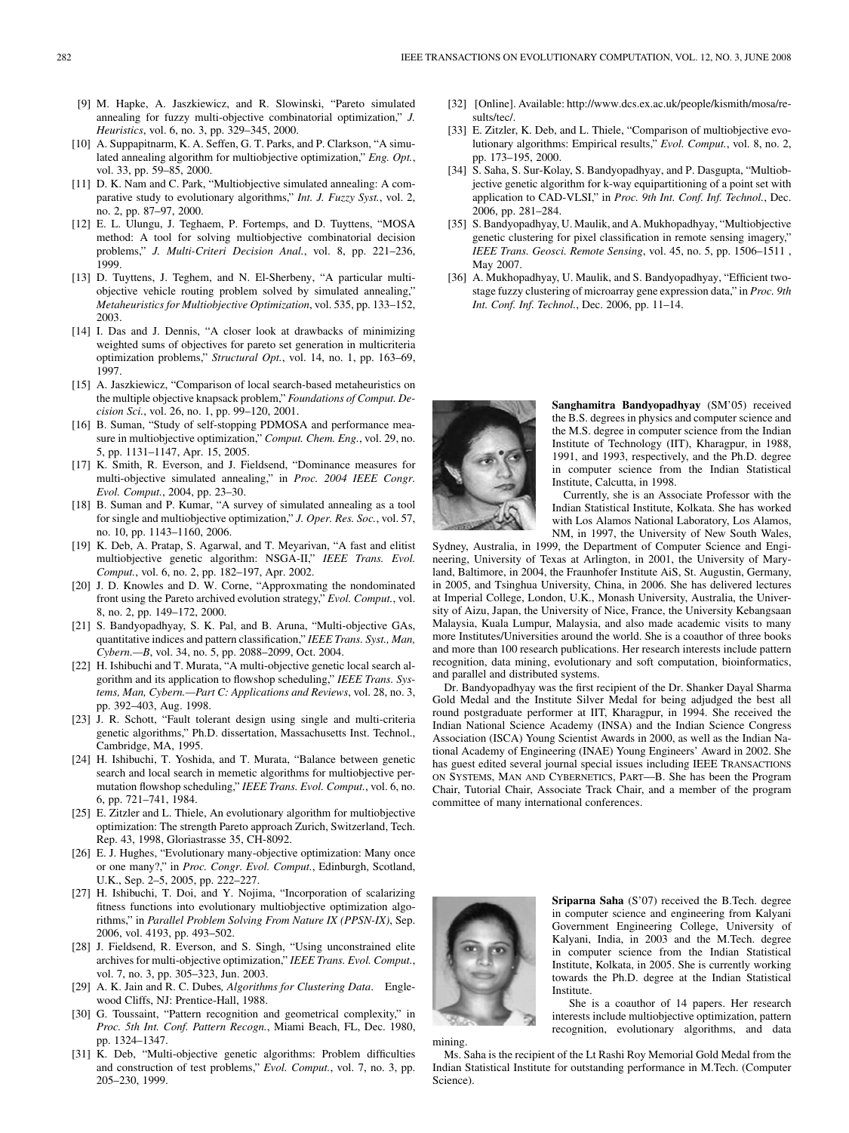- [9] M. Hapke, A. Jaszkiewicz, and R. Slowinski, "Pareto simulated annealing for fuzzy multi-objective combinatorial optimization," *J. Heuristics*, vol. 6, no. 3, pp. 329–345, 2000.
- [10] A. Suppapitnarm, K. A. Seffen, G. T. Parks, and P. Clarkson, "A simulated annealing algorithm for multiobjective optimization," *Eng. Opt.*, vol. 33, pp. 59–85, 2000.
- [11] D. K. Nam and C. Park, "Multiobjective simulated annealing: A comparative study to evolutionary algorithms," *Int. J. Fuzzy Syst.*, vol. 2, no. 2, pp. 87–97, 2000.
- [12] E. L. Ulungu, J. Teghaem, P. Fortemps, and D. Tuyttens, "MOSA method: A tool for solving multiobjective combinatorial decision problems," *J. Multi-Criteri Decision Anal.*, vol. 8, pp. 221–236, 1999.
- [13] D. Tuyttens, J. Teghem, and N. El-Sherbeny, "A particular multiobjective vehicle routing problem solved by simulated annealing," *Metaheuristics for Multiobjective Optimization*, vol. 535, pp. 133–152, 2003.
- [14] I. Das and J. Dennis, "A closer look at drawbacks of minimizing weighted sums of objectives for pareto set generation in multicriteria optimization problems," *Structural Opt.*, vol. 14, no. 1, pp. 163–69, 1997.
- [15] A. Jaszkiewicz, "Comparison of local search-based metaheuristics on the multiple objective knapsack problem," *Foundations of Comput. Decision Sci.*, vol. 26, no. 1, pp. 99–120, 2001.
- [16] B. Suman, "Study of self-stopping PDMOSA and performance measure in multiobjective optimization," *Comput. Chem. Eng.*, vol. 29, no. 5, pp. 1131–1147, Apr. 15, 2005.
- [17] K. Smith, R. Everson, and J. Fieldsend, "Dominance measures for multi-objective simulated annealing," in *Proc. 2004 IEEE Congr. Evol. Comput.*, 2004, pp. 23–30.
- [18] B. Suman and P. Kumar, "A survey of simulated annealing as a tool for single and multiobjective optimization," *J. Oper. Res. Soc.*, vol. 57, no. 10, pp. 1143–1160, 2006.
- [19] K. Deb, A. Pratap, S. Agarwal, and T. Meyarivan, "A fast and elitist multiobjective genetic algorithm: NSGA-II," *IEEE Trans. Evol. Comput.*, vol. 6, no. 2, pp. 182–197, Apr. 2002.
- [20] J. D. Knowles and D. W. Corne, "Approxmating the nondominated front using the Pareto archived evolution strategy," *Evol. Comput.*, vol. 8, no. 2, pp. 149–172, 2000.
- [21] S. Bandyopadhyay, S. K. Pal, and B. Aruna, "Multi-objective GAs, quantitative indices and pattern classification," *IEEE Trans. Syst., Man, Cybern.—B*, vol. 34, no. 5, pp. 2088–2099, Oct. 2004.
- [22] H. Ishibuchi and T. Murata, "A multi-objective genetic local search algorithm and its application to flowshop scheduling," *IEEE Trans. Systems, Man, Cybern.—Part C: Applications and Reviews*, vol. 28, no. 3, pp. 392–403, Aug. 1998.
- [23] J. R. Schott, "Fault tolerant design using single and multi-criteria genetic algorithms," Ph.D. dissertation, Massachusetts Inst. Technol., Cambridge, MA, 1995.
- [24] H. Ishibuchi, T. Yoshida, and T. Murata, "Balance between genetic search and local search in memetic algorithms for multiobjective permutation flowshop scheduling," *IEEE Trans. Evol. Comput.*, vol. 6, no. 6, pp. 721–741, 1984.
- [25] E. Zitzler and L. Thiele, An evolutionary algorithm for multiobjective optimization: The strength Pareto approach Zurich, Switzerland, Tech. Rep. 43, 1998, Gloriastrasse 35, CH-8092.
- [26] E. J. Hughes, "Evolutionary many-objective optimization: Many once or one many?," in *Proc. Congr. Evol. Comput.*, Edinburgh, Scotland, U.K., Sep. 2–5, 2005, pp. 222–227.
- [27] H. Ishibuchi, T. Doi, and Y. Nojima, "Incorporation of scalarizing fitness functions into evolutionary multiobjective optimization algorithms," in *Parallel Problem Solving From Nature IX (PPSN-IX)*, Sep. 2006, vol. 4193, pp. 493–502.
- [28] J. Fieldsend, R. Everson, and S. Singh, "Using unconstrained elite archives for multi-objective optimization," *IEEE Trans. Evol. Comput.*, vol. 7, no. 3, pp. 305–323, Jun. 2003.
- [29] A. K. Jain and R. C. Dubes*, Algorithms for Clustering Data*. Englewood Cliffs, NJ: Prentice-Hall, 1988.
- [30] G. Toussaint, "Pattern recognition and geometrical complexity," in *Proc. 5th Int. Conf. Pattern Recogn.*, Miami Beach, FL, Dec. 1980, pp. 1324–1347.
- [31] K. Deb, "Multi-objective genetic algorithms: Problem difficulties and construction of test problems," *Evol. Comput.*, vol. 7, no. 3, pp. 205–230, 1999.
- [32] [Online]. Available: http://www.dcs.ex.ac.uk/people/kismith/mosa/results/tec/.
- [33] E. Zitzler, K. Deb, and L. Thiele, "Comparison of multiobjective evolutionary algorithms: Empirical results," *Evol. Comput.*, vol. 8, no. 2, pp. 173–195, 2000.
- [34] S. Saha, S. Sur-Kolay, S. Bandyopadhyay, and P. Dasgupta, "Multiobjective genetic algorithm for k-way equipartitioning of a point set with application to CAD-VLSI," in *Proc. 9th Int. Conf. Inf. Technol.*, Dec. 2006, pp. 281–284.
- [35] S. Bandyopadhyay, U. Maulik, and A. Mukhopadhyay, "Multiobjective genetic clustering for pixel classification in remote sensing imagery," *IEEE Trans. Geosci. Remote Sensing*, vol. 45, no. 5, pp. 1506–1511 , May 2007.
- [36] A. Mukhopadhyay, U. Maulik, and S. Bandyopadhyay, "Efficient twostage fuzzy clustering of microarray gene expression data," in *Proc. 9th Int. Conf. Inf. Technol.*, Dec. 2006, pp. 11–14.



**Sanghamitra Bandyopadhyay** (SM'05) received the B.S. degrees in physics and computer science and the M.S. degree in computer science from the Indian Institute of Technology (IIT), Kharagpur, in 1988, 1991, and 1993, respectively, and the Ph.D. degree in computer science from the Indian Statistical Institute, Calcutta, in 1998.

Currently, she is an Associate Professor with the Indian Statistical Institute, Kolkata. She has worked with Los Alamos National Laboratory, Los Alamos, NM, in 1997, the University of New South Wales,

Sydney, Australia, in 1999, the Department of Computer Science and Engineering, University of Texas at Arlington, in 2001, the University of Maryland, Baltimore, in 2004, the Fraunhofer Institute AiS, St. Augustin, Germany, in 2005, and Tsinghua University, China, in 2006. She has delivered lectures at Imperial College, London, U.K., Monash University, Australia, the University of Aizu, Japan, the University of Nice, France, the University Kebangsaan Malaysia, Kuala Lumpur, Malaysia, and also made academic visits to many more Institutes/Universities around the world. She is a coauthor of three books and more than 100 research publications. Her research interests include pattern recognition, data mining, evolutionary and soft computation, bioinformatics, and parallel and distributed systems.

Dr. Bandyopadhyay was the first recipient of the Dr. Shanker Dayal Sharma Gold Medal and the Institute Silver Medal for being adjudged the best all round postgraduate performer at IIT, Kharagpur, in 1994. She received the Indian National Science Academy (INSA) and the Indian Science Congress Association (ISCA) Young Scientist Awards in 2000, as well as the Indian National Academy of Engineering (INAE) Young Engineers' Award in 2002. She has guest edited several journal special issues including IEEE TRANSACTIONS ON SYSTEMS, MAN AND CYBERNETICS, PART—B. She has been the Program Chair, Tutorial Chair, Associate Track Chair, and a member of the program committee of many international conferences.



**Sriparna Saha** (S'07) received the B.Tech. degree in computer science and engineering from Kalyani Government Engineering College, University of Kalyani, India, in 2003 and the M.Tech. degree in computer science from the Indian Statistical Institute, Kolkata, in 2005. She is currently working towards the Ph.D. degree at the Indian Statistical Institute.

She is a coauthor of 14 papers. Her research interests include multiobjective optimization, pattern recognition, evolutionary algorithms, and data

mining.

Ms. Saha is the recipient of the Lt Rashi Roy Memorial Gold Medal from the Indian Statistical Institute for outstanding performance in M.Tech. (Computer Science).